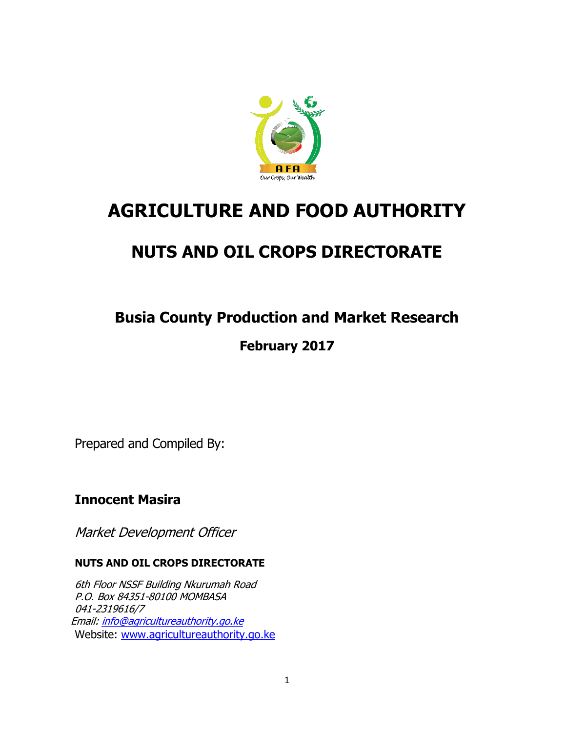

# **AGRICULTURE AND FOOD AUTHORITY**

# **NUTS AND OIL CROPS DIRECTORATE**

# **Busia County Production and Market Research**

# **February 2017**

Prepared and Compiled By:

# **Innocent Masira**

Market Development Officer

### **NUTS AND OIL CROPS DIRECTORATE**

6th Floor NSSF Building Nkurumah Road P.O. Box 84351-80100 MOMBASA 041-2319616/7 Email: [info@agricultureauthority.go.ke](mailto:info@agricultureauthority.go.ke) Website: [www.agricultureauthority.go.ke](http://www.agricultureauthority.go.ke/)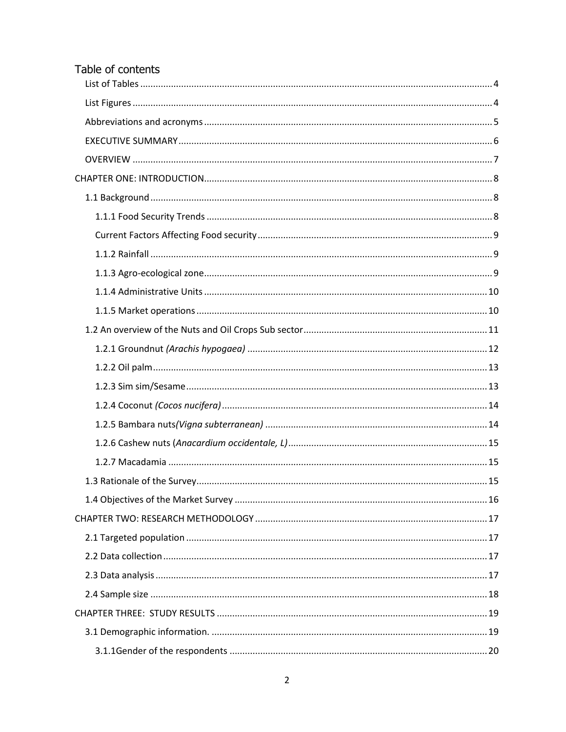| Table of contents |  |
|-------------------|--|
|                   |  |
|                   |  |
|                   |  |
|                   |  |
|                   |  |
|                   |  |
|                   |  |
|                   |  |
|                   |  |
|                   |  |
|                   |  |
|                   |  |
|                   |  |
|                   |  |
|                   |  |
|                   |  |
|                   |  |
|                   |  |
|                   |  |
|                   |  |
|                   |  |
|                   |  |
|                   |  |
|                   |  |
|                   |  |
|                   |  |
|                   |  |
|                   |  |
|                   |  |
|                   |  |
|                   |  |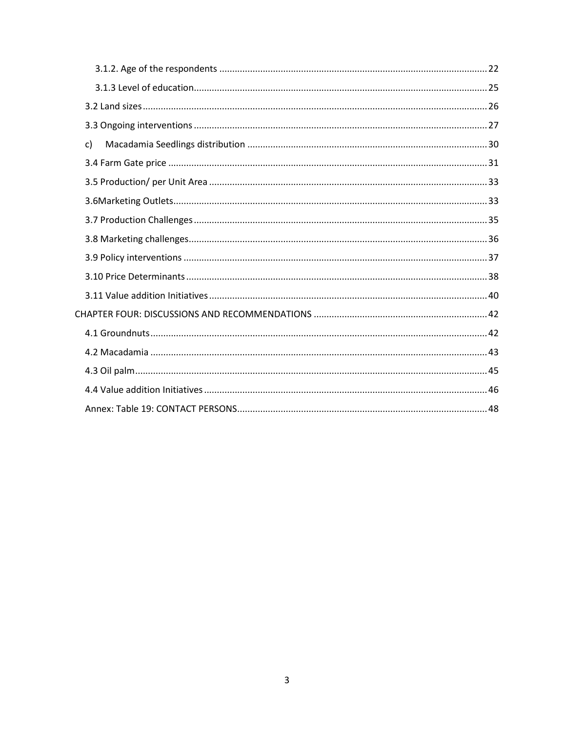| c) |  |
|----|--|
|    |  |
|    |  |
|    |  |
|    |  |
|    |  |
|    |  |
|    |  |
|    |  |
|    |  |
|    |  |
|    |  |
|    |  |
|    |  |
|    |  |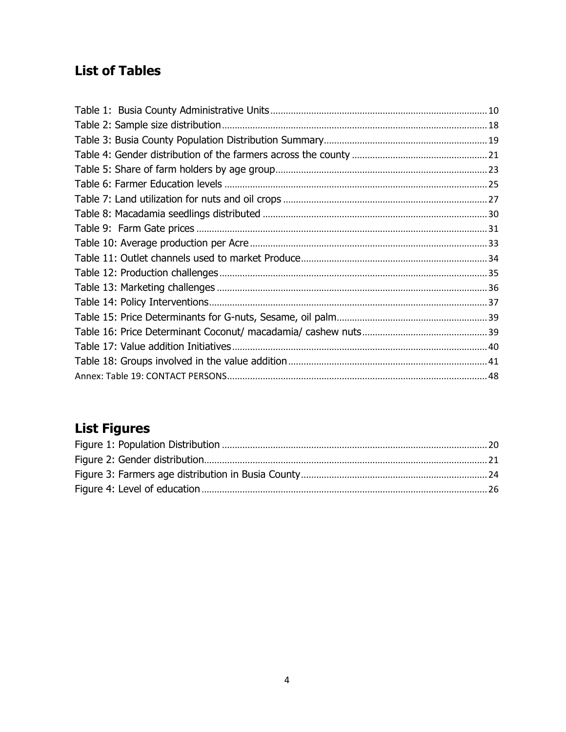# <span id="page-3-0"></span>**List of Tables**

# <span id="page-3-1"></span>**List Figures**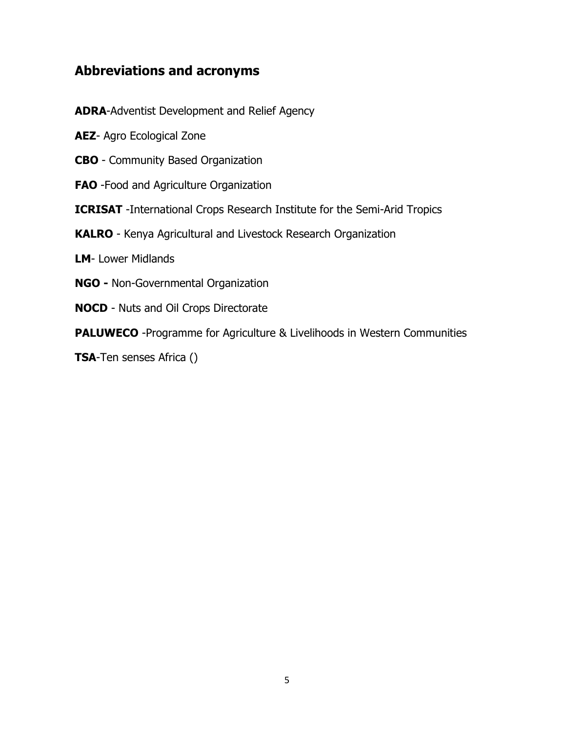## <span id="page-4-0"></span>**Abbreviations and acronyms**

- **ADRA**-Adventist Development and Relief Agency
- **AEZ** Agro Ecological Zone
- **CBO**  Community Based Organization
- **FAO** -Food and Agriculture Organization
- **ICRISAT** -International Crops Research Institute for the Semi-Arid Tropics
- **KALRO** Kenya Agricultural and Livestock Research Organization
- **LM** Lower Midlands
- **NGO -** Non-Governmental Organization
- **NOCD** Nuts and Oil Crops Directorate
- **PALUWECO** -Programme for Agriculture & Livelihoods in Western Communities
- **TSA**-Ten senses Africa ()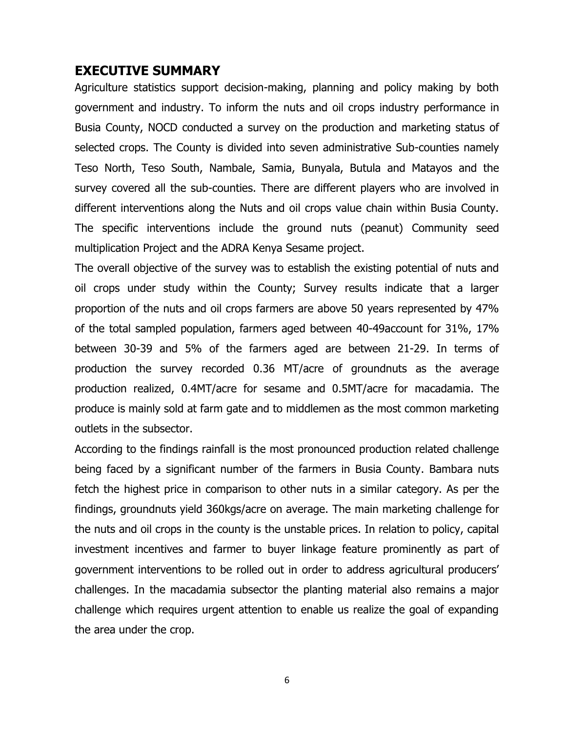#### <span id="page-5-0"></span>**EXECUTIVE SUMMARY**

Agriculture statistics support decision-making, planning and policy making by both government and industry. To inform the nuts and oil crops industry performance in Busia County, NOCD conducted a survey on the production and marketing status of selected crops. The County is divided into seven administrative Sub-counties namely Teso North, Teso South, Nambale, Samia, Bunyala, Butula and Matayos and the survey covered all the sub-counties. There are different players who are involved in different interventions along the Nuts and oil crops value chain within Busia County. The specific interventions include the ground nuts (peanut) Community seed multiplication Project and the ADRA Kenya Sesame project.

The overall objective of the survey was to establish the existing potential of nuts and oil crops under study within the County; Survey results indicate that a larger proportion of the nuts and oil crops farmers are above 50 years represented by 47% of the total sampled population, farmers aged between 40-49account for 31%, 17% between 30-39 and 5% of the farmers aged are between 21-29. In terms of production the survey recorded 0.36 MT/acre of groundnuts as the average production realized, 0.4MT/acre for sesame and 0.5MT/acre for macadamia. The produce is mainly sold at farm gate and to middlemen as the most common marketing outlets in the subsector.

According to the findings rainfall is the most pronounced production related challenge being faced by a significant number of the farmers in Busia County. Bambara nuts fetch the highest price in comparison to other nuts in a similar category. As per the findings, groundnuts yield 360kgs/acre on average. The main marketing challenge for the nuts and oil crops in the county is the unstable prices. In relation to policy, capital investment incentives and farmer to buyer linkage feature prominently as part of government interventions to be rolled out in order to address agricultural producers' challenges. In the macadamia subsector the planting material also remains a major challenge which requires urgent attention to enable us realize the goal of expanding the area under the crop.

6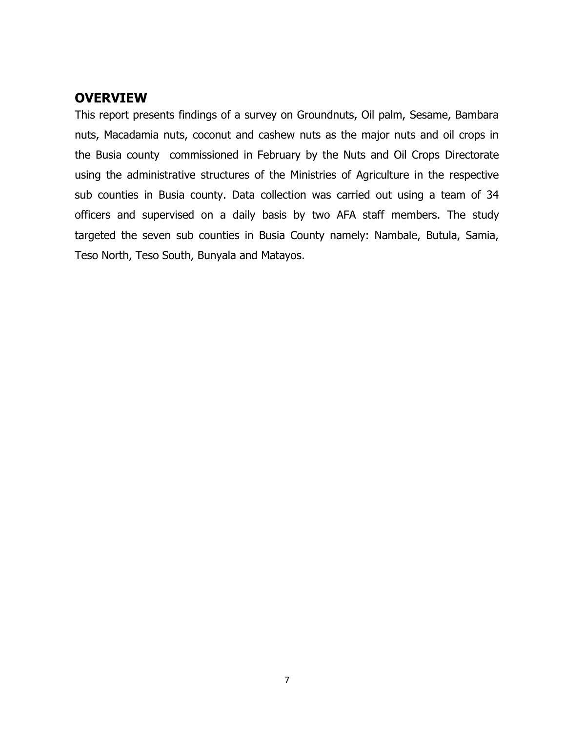## <span id="page-6-0"></span>**OVERVIEW**

This report presents findings of a survey on Groundnuts, Oil palm, Sesame, Bambara nuts, Macadamia nuts, coconut and cashew nuts as the major nuts and oil crops in the Busia county commissioned in February by the Nuts and Oil Crops Directorate using the administrative structures of the Ministries of Agriculture in the respective sub counties in Busia county. Data collection was carried out using a team of 34 officers and supervised on a daily basis by two AFA staff members. The study targeted the seven sub counties in Busia County namely: Nambale, Butula, Samia, Teso North, Teso South, Bunyala and Matayos.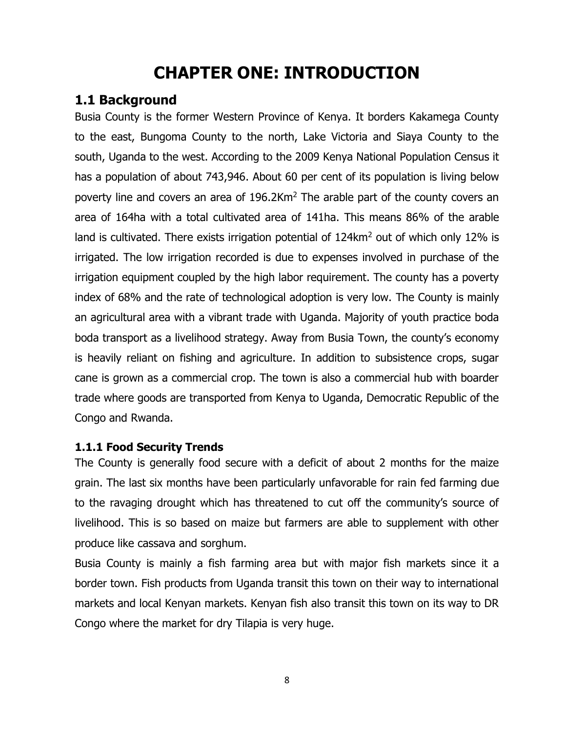# **CHAPTER ONE: INTRODUCTION**

# <span id="page-7-1"></span><span id="page-7-0"></span>**1.1 Background**

Busia County is the former Western Province of Kenya. It borders Kakamega County to the east, Bungoma County to the north, Lake Victoria and Siaya County to the south, Uganda to the west. According to the 2009 Kenya National Population Census it has a population of about 743,946. About 60 per cent of its population is living below poverty line and covers an area of 196.2Km<sup>2</sup> The arable part of the county covers an area of 164ha with a total cultivated area of 141ha. This means 86% of the arable land is cultivated. There exists irrigation potential of  $124 \text{km}^2$  out of which only 12% is irrigated. The low irrigation recorded is due to expenses involved in purchase of the irrigation equipment coupled by the high labor requirement. The county has a poverty index of 68% and the rate of technological adoption is very low. The County is mainly an agricultural area with a vibrant trade with Uganda. Majority of youth practice boda boda transport as a livelihood strategy. Away from Busia Town, the county's economy is heavily reliant on fishing and agriculture. In addition to subsistence crops, sugar cane is grown as a commercial crop. The town is also a commercial hub with boarder trade where goods are transported from Kenya to Uganda, Democratic Republic of the Congo and Rwanda.

#### <span id="page-7-2"></span>**1.1.1 Food Security Trends**

The County is generally food secure with a deficit of about 2 months for the maize grain. The last six months have been particularly unfavorable for rain fed farming due to the ravaging drought which has threatened to cut off the community's source of livelihood. This is so based on maize but farmers are able to supplement with other produce like cassava and sorghum.

Busia County is mainly a fish farming area but with major fish markets since it a border town. Fish products from Uganda transit this town on their way to international markets and local Kenyan markets. Kenyan fish also transit this town on its way to DR Congo where the market for dry Tilapia is very huge.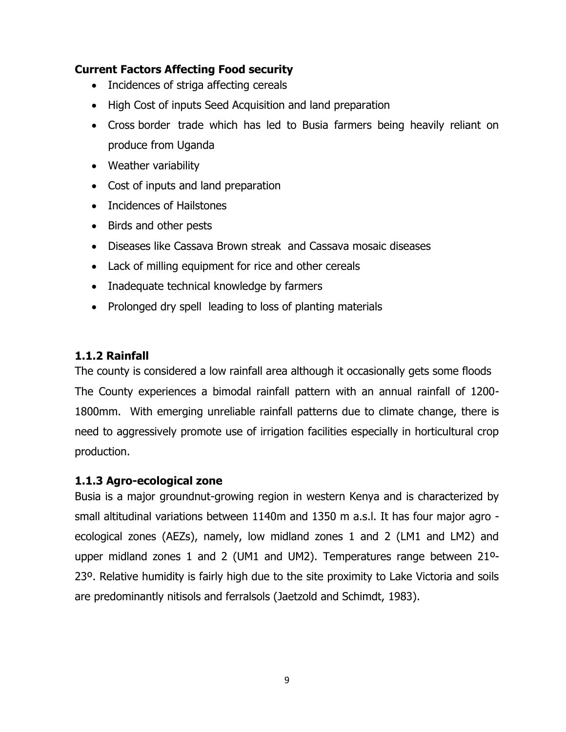#### <span id="page-8-0"></span>**Current Factors Affecting Food security**

- Incidences of striga affecting cereals
- High Cost of inputs Seed Acquisition and land preparation
- Cross border trade which has led to Busia farmers being heavily reliant on produce from Uganda
- Weather variability
- Cost of inputs and land preparation
- Incidences of Hailstones
- Birds and other pests
- Diseases like Cassava Brown streak and Cassava mosaic diseases
- Lack of milling equipment for rice and other cereals
- Inadequate technical knowledge by farmers
- Prolonged dry spell leading to loss of planting materials

### <span id="page-8-1"></span>**1.1.2 Rainfall**

The county is considered a low rainfall area although it occasionally gets some floods The County experiences a bimodal rainfall pattern with an annual rainfall of 1200- 1800mm. With emerging unreliable rainfall patterns due to climate change, there is need to aggressively promote use of irrigation facilities especially in horticultural crop production.

### <span id="page-8-2"></span>**1.1.3 Agro-ecological zone**

Busia is a major groundnut-growing region in western Kenya and is characterized by small altitudinal variations between 1140m and 1350 m a.s.l. It has four major agro ecological zones (AEZs), namely, low midland zones 1 and 2 (LM1 and LM2) and upper midland zones 1 and 2 (UM1 and UM2). Temperatures range between 21º-23º. Relative humidity is fairly high due to the site proximity to Lake Victoria and soils are predominantly nitisols and ferralsols (Jaetzold and Schimdt, 1983).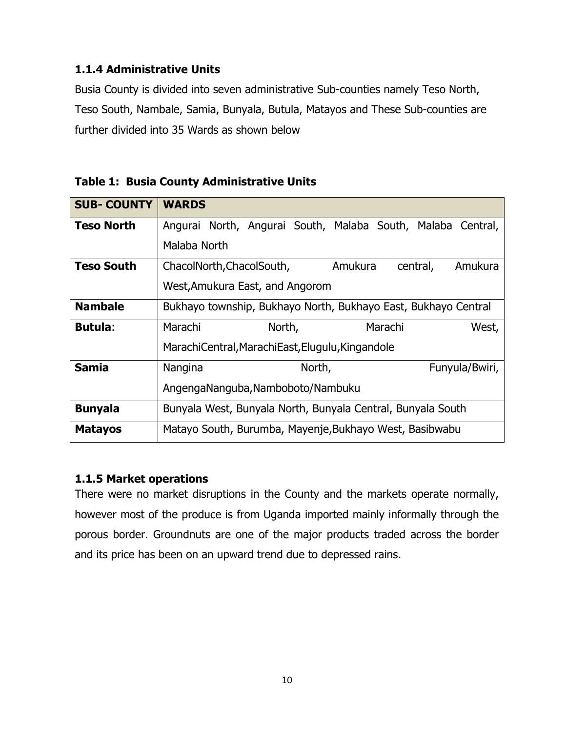### <span id="page-9-0"></span>**1.1.4 Administrative Units**

Busia County is divided into seven administrative Sub-counties namely Teso North, Teso South, Nambale, Samia, Bunyala, Butula, Matayos and These Sub-counties are further divided into 35 Wards as shown below

| <b>SUB- COUNTY</b> | <b>WARDS</b>                                                   |  |  |  |  |  |
|--------------------|----------------------------------------------------------------|--|--|--|--|--|
| <b>Teso North</b>  | Angurai North, Angurai South, Malaba South, Malaba Central,    |  |  |  |  |  |
|                    | Malaba North                                                   |  |  |  |  |  |
| <b>Teso South</b>  | Amukura<br>Amukura<br>ChacolNorth, ChacolSouth,<br>central,    |  |  |  |  |  |
|                    | West, Amukura East, and Angorom                                |  |  |  |  |  |
| <b>Nambale</b>     | Bukhayo township, Bukhayo North, Bukhayo East, Bukhayo Central |  |  |  |  |  |
| <b>Butula:</b>     | Marachi<br>Marachi<br>North,<br>West,                          |  |  |  |  |  |
|                    | MarachiCentral, MarachiEast, Elugulu, Kingandole               |  |  |  |  |  |
| <b>Samia</b>       | North,<br>Funyula/Bwiri,<br>Nangina                            |  |  |  |  |  |
|                    | AngengaNanguba, Namboboto/Nambuku                              |  |  |  |  |  |
| <b>Bunyala</b>     | Bunyala West, Bunyala North, Bunyala Central, Bunyala South    |  |  |  |  |  |
| <b>Matayos</b>     | Matayo South, Burumba, Mayenje, Bukhayo West, Basibwabu        |  |  |  |  |  |

<span id="page-9-2"></span>**Table 1: Busia County Administrative Units**

#### <span id="page-9-1"></span>**1.1.5 Market operations**

There were no market disruptions in the County and the markets operate normally, however most of the produce is from Uganda imported mainly informally through the porous border. Groundnuts are one of the major products traded across the border and its price has been on an upward trend due to depressed rains.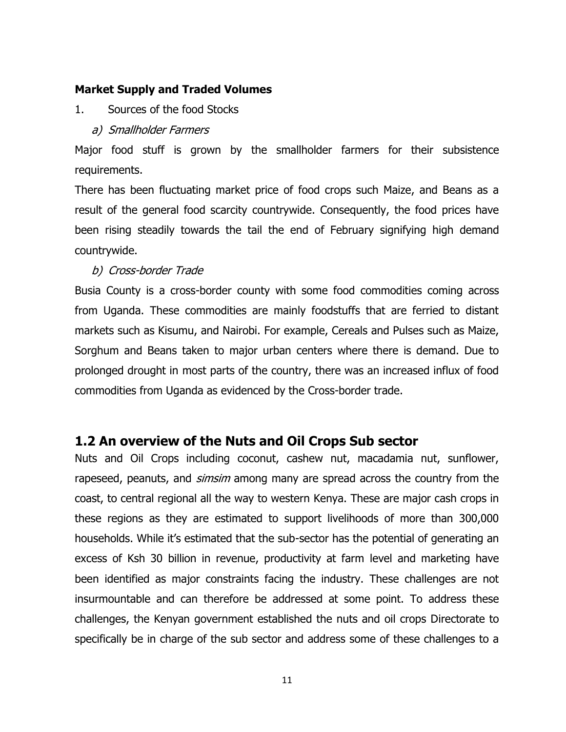#### **Market Supply and Traded Volumes**

- 1. Sources of the food Stocks
	- a) Smallholder Farmers

Major food stuff is grown by the smallholder farmers for their subsistence requirements.

There has been fluctuating market price of food crops such Maize, and Beans as a result of the general food scarcity countrywide. Consequently, the food prices have been rising steadily towards the tail the end of February signifying high demand countrywide.

#### b) Cross-border Trade

Busia County is a cross-border county with some food commodities coming across from Uganda. These commodities are mainly foodstuffs that are ferried to distant markets such as Kisumu, and Nairobi. For example, Cereals and Pulses such as Maize, Sorghum and Beans taken to major urban centers where there is demand. Due to prolonged drought in most parts of the country, there was an increased influx of food commodities from Uganda as evidenced by the Cross-border trade.

### <span id="page-10-0"></span>**1.2 An overview of the Nuts and Oil Crops Sub sector**

Nuts and Oil Crops including coconut, cashew nut, macadamia nut, sunflower, rapeseed, peanuts, and *simsim* among many are spread across the country from the coast, to central regional all the way to western Kenya. These are major cash crops in these regions as they are estimated to support livelihoods of more than 300,000 households. While it's estimated that the sub-sector has the potential of generating an excess of Ksh 30 billion in revenue, productivity at farm level and marketing have been identified as major constraints facing the industry. These challenges are not insurmountable and can therefore be addressed at some point. To address these challenges, the Kenyan government established the nuts and oil crops Directorate to specifically be in charge of the sub sector and address some of these challenges to a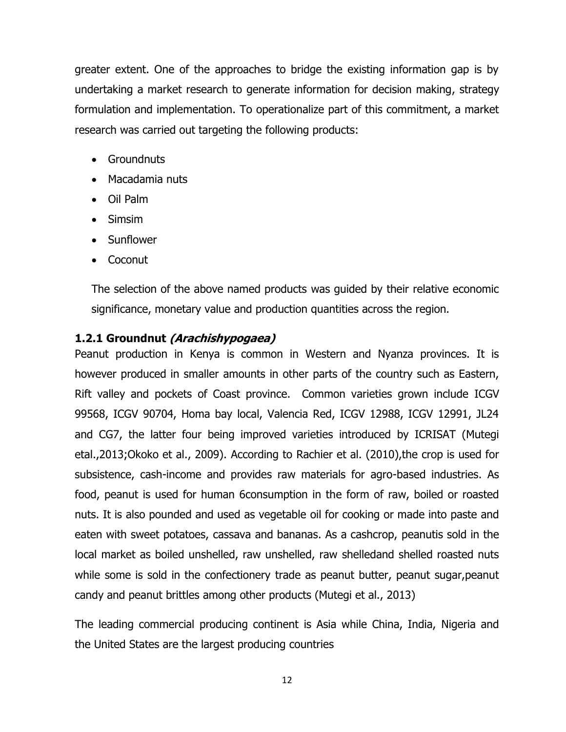greater extent. One of the approaches to bridge the existing information gap is by undertaking a market research to generate information for decision making, strategy formulation and implementation. To operationalize part of this commitment, a market research was carried out targeting the following products:

- Groundnuts
- Macadamia nuts
- Oil Palm
- Simsim
- Sunflower
- Coconut

The selection of the above named products was guided by their relative economic significance, monetary value and production quantities across the region.

#### <span id="page-11-0"></span>**1.2.1 Groundnut (Arachishypogaea)**

Peanut production in Kenya is common in Western and Nyanza provinces. It is however produced in smaller amounts in other parts of the country such as Eastern, Rift valley and pockets of Coast province. Common varieties grown include ICGV 99568, ICGV 90704, Homa bay local, Valencia Red, ICGV 12988, ICGV 12991, JL24 and CG7, the latter four being improved varieties introduced by ICRISAT (Mutegi etal.,2013;Okoko et al., 2009). According to Rachier et al. (2010),the crop is used for subsistence, cash-income and provides raw materials for agro-based industries. As food, peanut is used for human 6consumption in the form of raw, boiled or roasted nuts. It is also pounded and used as vegetable oil for cooking or made into paste and eaten with sweet potatoes, cassava and bananas. As a cashcrop, peanutis sold in the local market as boiled unshelled, raw unshelled, raw shelledand shelled roasted nuts while some is sold in the confectionery trade as peanut butter, peanut sugar,peanut candy and peanut brittles among other products (Mutegi et al., 2013)

The leading commercial producing continent is Asia while China, India, Nigeria and the United States are the largest producing countries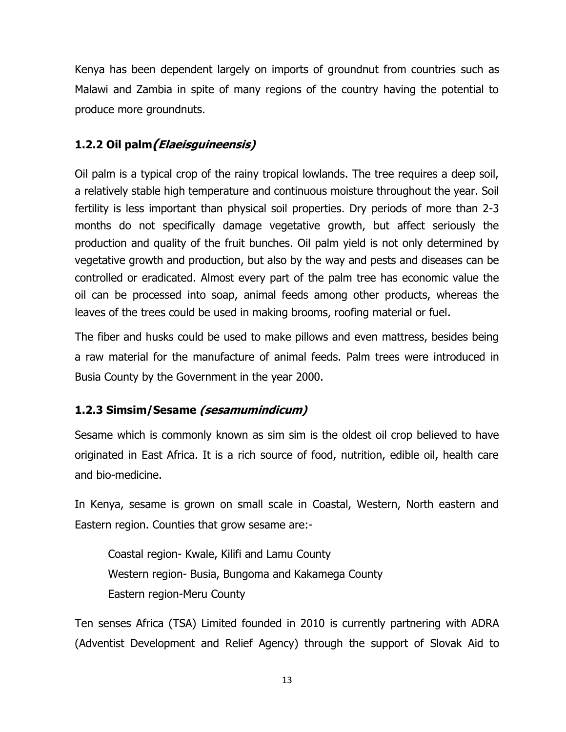Kenya has been dependent largely on imports of groundnut from countries such as Malawi and Zambia in spite of many regions of the country having the potential to produce more groundnuts.

## <span id="page-12-0"></span>**1.2.2 Oil palm(Elaeisguineensis)**

Oil palm is a typical crop of the rainy tropical lowlands. The tree requires a deep soil, a relatively stable high temperature and continuous moisture throughout the year. Soil fertility is less important than physical soil properties. Dry periods of more than 2-3 months do not specifically damage vegetative growth, but affect seriously the production and quality of the fruit bunches. Oil palm yield is not only determined by vegetative growth and production, but also by the way and pests and diseases can be controlled or eradicated. Almost every part of the palm tree has economic value the oil can be processed into soap, animal feeds among other products, whereas the leaves of the trees could be used in making brooms, roofing material or fuel.

The fiber and husks could be used to make pillows and even mattress, besides being a raw material for the manufacture of animal feeds. Palm trees were introduced in Busia County by the Government in the year 2000.

### <span id="page-12-1"></span>**1.2.3 Simsim/Sesame (sesamumindicum)**

Sesame which is commonly known as sim sim is the oldest oil crop believed to have originated in East Africa. It is a rich source of food, nutrition, edible oil, health care and bio-medicine.

In Kenya, sesame is grown on small scale in Coastal, Western, North eastern and Eastern region. Counties that grow sesame are:-

Coastal region- Kwale, Kilifi and Lamu County Western region- Busia, Bungoma and Kakamega County Eastern region-Meru County

Ten senses Africa (TSA) Limited founded in 2010 is currently partnering with ADRA (Adventist Development and Relief Agency) through the support of Slovak Aid to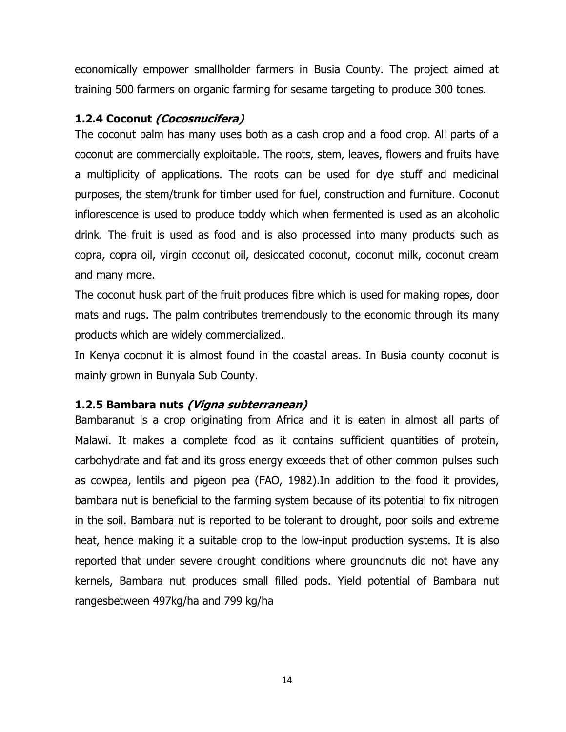economically empower smallholder farmers in Busia County. The project aimed at training 500 farmers on organic farming for sesame targeting to produce 300 tones.

#### <span id="page-13-0"></span>**1.2.4 Coconut (Cocosnucifera)**

The coconut palm has many uses both as a cash crop and a food crop. All parts of a coconut are commercially exploitable. The roots, stem, leaves, flowers and fruits have a multiplicity of applications. The roots can be used for dye stuff and medicinal purposes, the stem/trunk for timber used for fuel, construction and furniture. Coconut inflorescence is used to produce toddy which when fermented is used as an alcoholic drink. The fruit is used as food and is also processed into many products such as copra, copra oil, virgin coconut oil, desiccated coconut, coconut milk, coconut cream and many more.

The coconut husk part of the fruit produces fibre which is used for making ropes, door mats and rugs. The palm contributes tremendously to the economic through its many products which are widely commercialized.

In Kenya coconut it is almost found in the coastal areas. In Busia county coconut is mainly grown in Bunyala Sub County.

#### <span id="page-13-1"></span>**1.2.5 Bambara nuts (Vigna subterranean)**

Bambaranut is a crop originating from Africa and it is eaten in almost all parts of Malawi. It makes a complete food as it contains sufficient quantities of protein, carbohydrate and fat and its gross energy exceeds that of other common pulses such as cowpea, lentils and pigeon pea (FAO, 1982).In addition to the food it provides, bambara nut is beneficial to the farming system because of its potential to fix nitrogen in the soil. Bambara nut is reported to be tolerant to drought, poor soils and extreme heat, hence making it a suitable crop to the low-input production systems. It is also reported that under severe drought conditions where groundnuts did not have any kernels, Bambara nut produces small filled pods. Yield potential of Bambara nut rangesbetween 497kg/ha and 799 kg/ha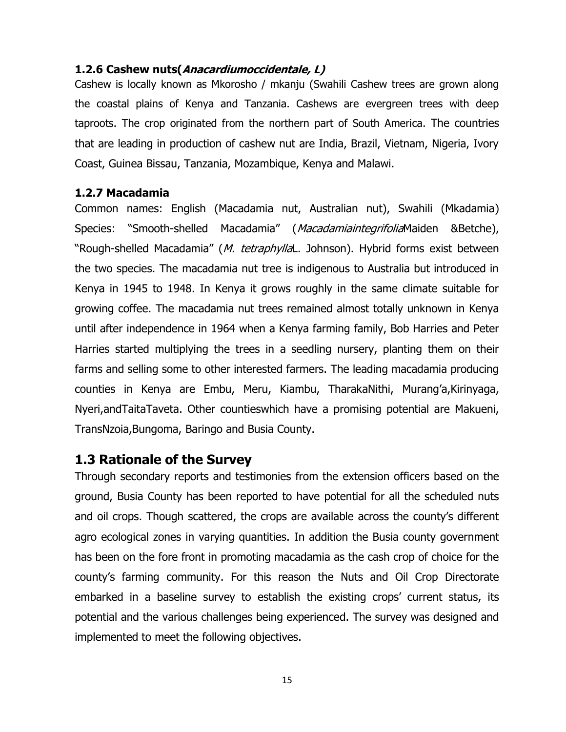#### <span id="page-14-0"></span>**1.2.6 Cashew nuts(Anacardiumoccidentale, L)**

Cashew is locally known as Mkorosho / mkanju (Swahili Cashew trees are grown along the coastal plains of Kenya and Tanzania. Cashews are evergreen trees with deep taproots. The crop originated from the northern part of South America. The countries that are leading in production of cashew nut are India, Brazil, Vietnam, Nigeria, Ivory Coast, Guinea Bissau, Tanzania, Mozambique, Kenya and Malawi.

#### <span id="page-14-1"></span>**1.2.7 Macadamia**

Common names: English (Macadamia nut, Australian nut), Swahili (Mkadamia) Species: "Smooth-shelled Macadamia" (MacadamiaintegrifoliaMaiden &Betche), "Rough-shelled Macadamia" (M. tetraphyllaL. Johnson). Hybrid forms exist between the two species. The macadamia nut tree is indigenous to Australia but introduced in Kenya in 1945 to 1948. In Kenya it grows roughly in the same climate suitable for growing coffee. The macadamia nut trees remained almost totally unknown in Kenya until after independence in 1964 when a Kenya farming family, Bob Harries and Peter Harries started multiplying the trees in a seedling nursery, planting them on their farms and selling some to other interested farmers. The leading macadamia producing counties in Kenya are Embu, Meru, Kiambu, TharakaNithi, Murang'a,Kirinyaga, Nyeri,andTaitaTaveta. Other countieswhich have a promising potential are Makueni, TransNzoia,Bungoma, Baringo and Busia County.

### <span id="page-14-2"></span>**1.3 Rationale of the Survey**

Through secondary reports and testimonies from the extension officers based on the ground, Busia County has been reported to have potential for all the scheduled nuts and oil crops. Though scattered, the crops are available across the county's different agro ecological zones in varying quantities. In addition the Busia county government has been on the fore front in promoting macadamia as the cash crop of choice for the county's farming community. For this reason the Nuts and Oil Crop Directorate embarked in a baseline survey to establish the existing crops' current status, its potential and the various challenges being experienced. The survey was designed and implemented to meet the following objectives.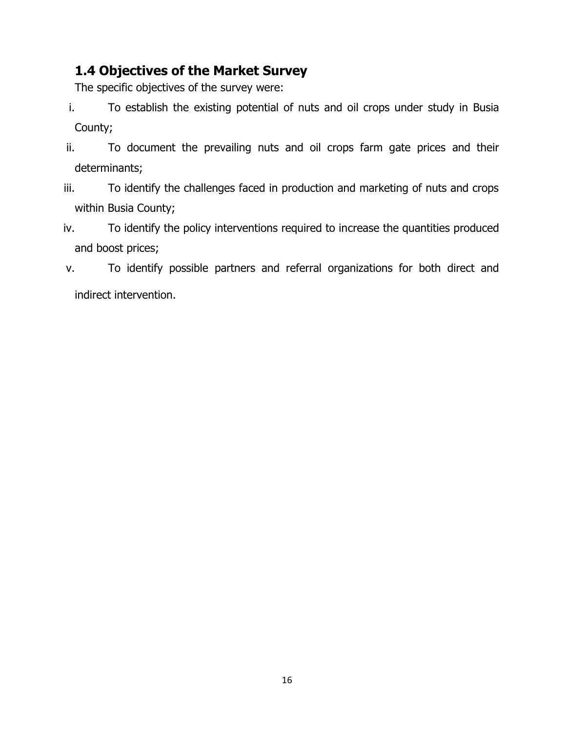# <span id="page-15-0"></span>**1.4 Objectives of the Market Survey**

The specific objectives of the survey were:

- i. To establish the existing potential of nuts and oil crops under study in Busia County;
- ii. To document the prevailing nuts and oil crops farm gate prices and their determinants;
- iii. To identify the challenges faced in production and marketing of nuts and crops within Busia County;
- iv. To identify the policy interventions required to increase the quantities produced and boost prices;
- v. To identify possible partners and referral organizations for both direct and indirect intervention.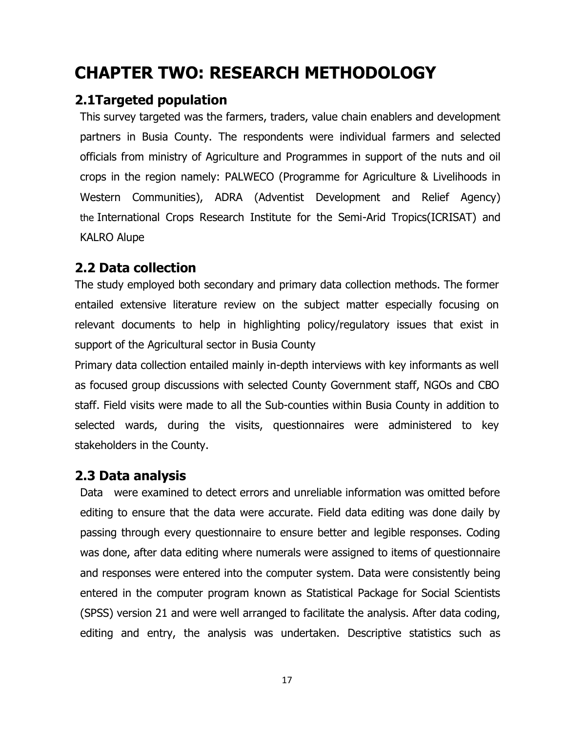# <span id="page-16-0"></span>**CHAPTER TWO: RESEARCH METHODOLOGY**

## <span id="page-16-1"></span>**2.1Targeted population**

This survey targeted was the farmers, traders, value chain enablers and development partners in Busia County. The respondents were individual farmers and selected officials from ministry of Agriculture and Programmes in support of the nuts and oil crops in the region namely: PALWECO (Programme for Agriculture & Livelihoods in Western Communities), ADRA (Adventist Development and Relief Agency) the International Crops Research Institute for the Semi-Arid Tropics(ICRISAT) and KALRO Alupe

# <span id="page-16-2"></span>**2.2 Data collection**

The study employed both secondary and primary data collection methods. The former entailed extensive literature review on the subject matter especially focusing on relevant documents to help in highlighting policy/regulatory issues that exist in support of the Agricultural sector in Busia County

Primary data collection entailed mainly in-depth interviews with key informants as well as focused group discussions with selected County Government staff, NGOs and CBO staff. Field visits were made to all the Sub-counties within Busia County in addition to selected wards, during the visits, questionnaires were administered to key stakeholders in the County.

## <span id="page-16-3"></span>**2.3 Data analysis**

Data were examined to detect errors and unreliable information was omitted before editing to ensure that the data were accurate. Field data editing was done daily by passing through every questionnaire to ensure better and legible responses. Coding was done, after data editing where numerals were assigned to items of questionnaire and responses were entered into the computer system. Data were consistently being entered in the computer program known as Statistical Package for Social Scientists (SPSS) version 21 and were well arranged to facilitate the analysis. After data coding, editing and entry, the analysis was undertaken. Descriptive statistics such as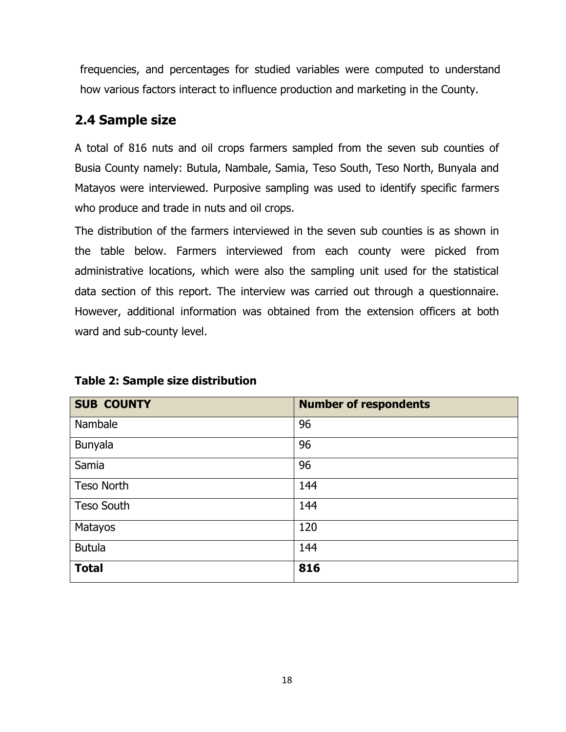frequencies, and percentages for studied variables were computed to understand how various factors interact to influence production and marketing in the County.

# <span id="page-17-0"></span>**2.4 Sample size**

A total of 816 nuts and oil crops farmers sampled from the seven sub counties of Busia County namely: Butula, Nambale, Samia, Teso South, Teso North, Bunyala and Matayos were interviewed. Purposive sampling was used to identify specific farmers who produce and trade in nuts and oil crops.

The distribution of the farmers interviewed in the seven sub counties is as shown in the table below. Farmers interviewed from each county were picked from administrative locations, which were also the sampling unit used for the statistical data section of this report. The interview was carried out through a questionnaire. However, additional information was obtained from the extension officers at both ward and sub-county level.

| <b>SUB COUNTY</b> | <b>Number of respondents</b> |
|-------------------|------------------------------|
| Nambale           | 96                           |
| Bunyala           | 96                           |
| Samia             | 96                           |
| Teso North        | 144                          |
| <b>Teso South</b> | 144                          |
| Matayos           | 120                          |
| <b>Butula</b>     | 144                          |
| <b>Total</b>      | 816                          |

#### <span id="page-17-1"></span>**Table 2: Sample size distribution**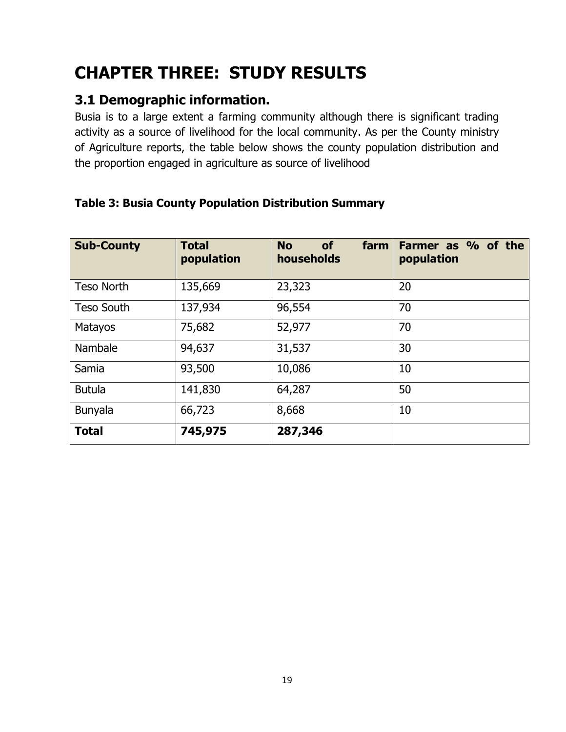# <span id="page-18-0"></span>**CHAPTER THREE: STUDY RESULTS**

# <span id="page-18-1"></span>**3.1 Demographic information.**

Busia is to a large extent a farming community although there is significant trading activity as a source of livelihood for the local community. As per the County ministry of Agriculture reports, the table below shows the county population distribution and the proportion engaged in agriculture as source of livelihood

| <b>Sub-County</b> | <b>Total</b><br>population | farm<br><b>No</b><br><b>of</b><br>households | Farmer as % of the<br>population |
|-------------------|----------------------------|----------------------------------------------|----------------------------------|
| <b>Teso North</b> | 135,669                    | 23,323                                       | 20                               |
| <b>Teso South</b> | 137,934                    | 96,554                                       | 70                               |
| <b>Matayos</b>    | 75,682                     | 52,977                                       | 70                               |
| Nambale           | 94,637                     | 31,537                                       | 30                               |
| Samia             | 93,500                     | 10,086                                       | 10                               |
| <b>Butula</b>     | 141,830                    | 64,287                                       | 50                               |
| Bunyala           | 66,723                     | 8,668                                        | 10                               |
| <b>Total</b>      | 745,975                    | 287,346                                      |                                  |

### <span id="page-18-2"></span>**Table 3: Busia County Population Distribution Summary**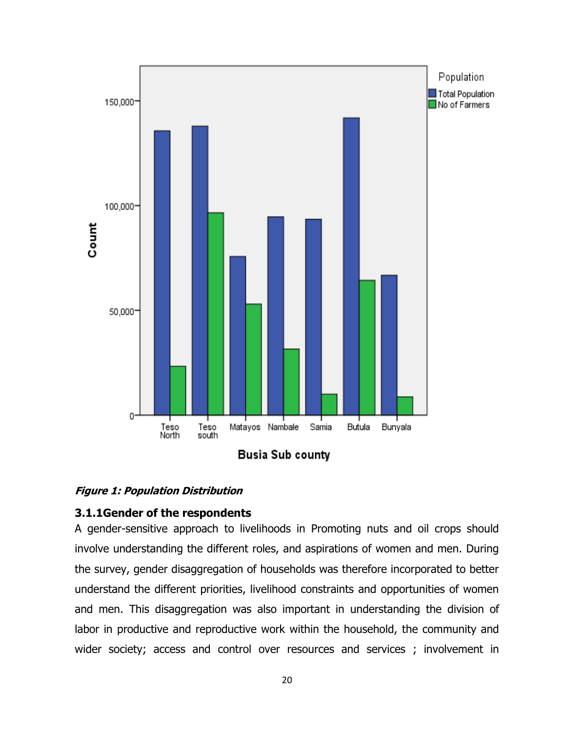



#### <span id="page-19-1"></span>**Figure 1: Population Distribution**

#### <span id="page-19-0"></span>**3.1.1Gender of the respondents**

A gender-sensitive approach to livelihoods in Promoting nuts and oil crops should involve understanding the different roles, and aspirations of women and men. During the survey, gender disaggregation of households was therefore incorporated to better understand the different priorities, livelihood constraints and opportunities of women and men. This disaggregation was also important in understanding the division of labor in productive and reproductive work within the household, the community and wider society; access and control over resources and services ; involvement in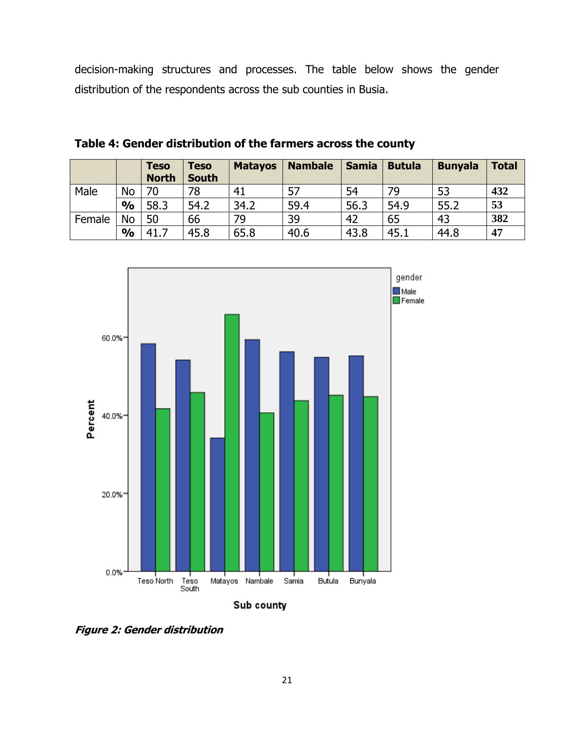decision-making structures and processes. The table below shows the gender distribution of the respondents across the sub counties in Busia.

|        |               | <b>Teso</b><br><b>North</b> | <b>Teso</b><br><b>South</b> | <b>Matayos</b> | <b>Nambale</b> | <b>Samia</b> | <b>Butula</b> | <b>Bunyala</b> | <b>Total</b> |
|--------|---------------|-----------------------------|-----------------------------|----------------|----------------|--------------|---------------|----------------|--------------|
| Male   | <b>No</b>     | 70                          | 78                          | 41             | 57             | 54           | 79            | 53             | 432          |
|        | $\frac{0}{0}$ | 58.3                        | 54.2                        | 34.2           | 59.4           | 56.3         | 54.9          | 55.2           | 53           |
| Female | <b>No</b>     | 50                          | 66                          | 79             | 39             | 42           | 65            | 43             | 382          |
|        | $\frac{0}{0}$ | 41.7                        | 45.8                        | 65.8           | 40.6           | 43.8         | 45.1          | 44.8           | 47           |

<span id="page-20-0"></span>**Table 4: Gender distribution of the farmers across the county**



<span id="page-20-1"></span>**Figure 2: Gender distribution**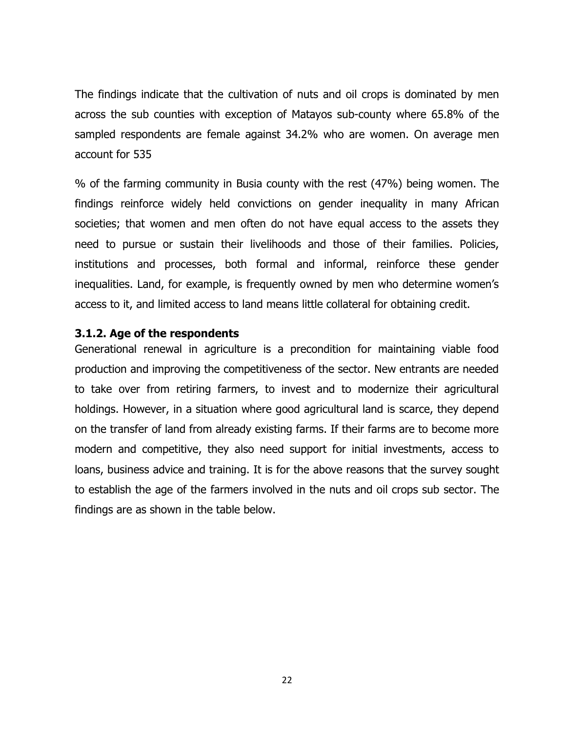The findings indicate that the cultivation of nuts and oil crops is dominated by men across the sub counties with exception of Matayos sub-county where 65.8% of the sampled respondents are female against 34.2% who are women. On average men account for 535

% of the farming community in Busia county with the rest (47%) being women. The findings reinforce widely held convictions on gender inequality in many African societies; that women and men often do not have equal access to the assets they need to pursue or sustain their livelihoods and those of their families. Policies, institutions and processes, both formal and informal, reinforce these gender inequalities. Land, for example, is frequently owned by men who determine women's access to it, and limited access to land means little collateral for obtaining credit.

#### <span id="page-21-0"></span>**3.1.2. Age of the respondents**

Generational renewal in agriculture is a precondition for maintaining viable food production and improving the competitiveness of the sector. New entrants are needed to take over from retiring farmers, to invest and to modernize their agricultural holdings. However, in a situation where good agricultural land is scarce, they depend on the transfer of land from already existing farms. If their farms are to become more modern and competitive, they also need support for initial investments, access to loans, business advice and training. It is for the above reasons that the survey sought to establish the age of the farmers involved in the nuts and oil crops sub sector. The findings are as shown in the table below.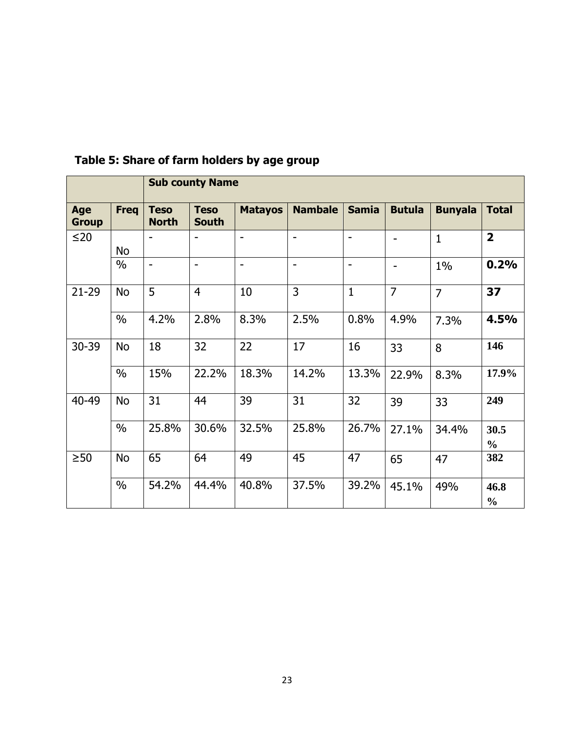|                            |               |                             | <b>Sub county Name</b>      |                          |                          |                          |                |                |                       |
|----------------------------|---------------|-----------------------------|-----------------------------|--------------------------|--------------------------|--------------------------|----------------|----------------|-----------------------|
| <b>Age</b><br><b>Group</b> | <b>Freq</b>   | <b>Teso</b><br><b>North</b> | <b>Teso</b><br><b>South</b> | <b>Matayos</b>           | <b>Nambale</b>           | <b>Samia</b>             | <b>Butula</b>  | <b>Bunyala</b> | <b>Total</b>          |
| $\leq$ 20                  | No            |                             |                             | $\blacksquare$           | $\overline{\phantom{0}}$ | $\overline{\phantom{a}}$ | $\overline{a}$ | $\mathbf{1}$   | $\overline{2}$        |
|                            | $\frac{0}{0}$ | $\blacksquare$              | $\overline{\phantom{a}}$    | $\overline{\phantom{0}}$ | $\overline{\phantom{a}}$ | $\overline{\phantom{a}}$ | $\overline{a}$ | $1\%$          | 0.2%                  |
| $21 - 29$                  | <b>No</b>     | 5                           | $\overline{4}$              | 10                       | 3                        | $\mathbf{1}$             | $\overline{7}$ | $\overline{7}$ | 37                    |
|                            | $\frac{0}{0}$ | 4.2%                        | 2.8%                        | 8.3%                     | 2.5%                     | 0.8%                     | 4.9%           | 7.3%           | 4.5%                  |
| 30-39                      | <b>No</b>     | 18                          | 32                          | 22                       | 17                       | 16                       | 33             | 8              | 146                   |
|                            | $\frac{0}{0}$ | 15%                         | 22.2%                       | 18.3%                    | 14.2%                    | 13.3%                    | 22.9%          | 8.3%           | 17.9%                 |
| 40-49                      | <b>No</b>     | 31                          | 44                          | 39                       | 31                       | 32                       | 39             | 33             | 249                   |
|                            | $\frac{0}{0}$ | 25.8%                       | 30.6%                       | 32.5%                    | 25.8%                    | 26.7%                    | 27.1%          | 34.4%          | 30.5<br>$\frac{0}{0}$ |
| $\geq 50$                  | <b>No</b>     | 65                          | 64                          | 49                       | 45                       | 47                       | 65             | 47             | 382                   |
|                            | $\frac{0}{0}$ | 54.2%                       | 44.4%                       | 40.8%                    | 37.5%                    | 39.2%                    | 45.1%          | 49%            | 46.8<br>$\frac{0}{0}$ |

# <span id="page-22-0"></span>**Table 5: Share of farm holders by age group**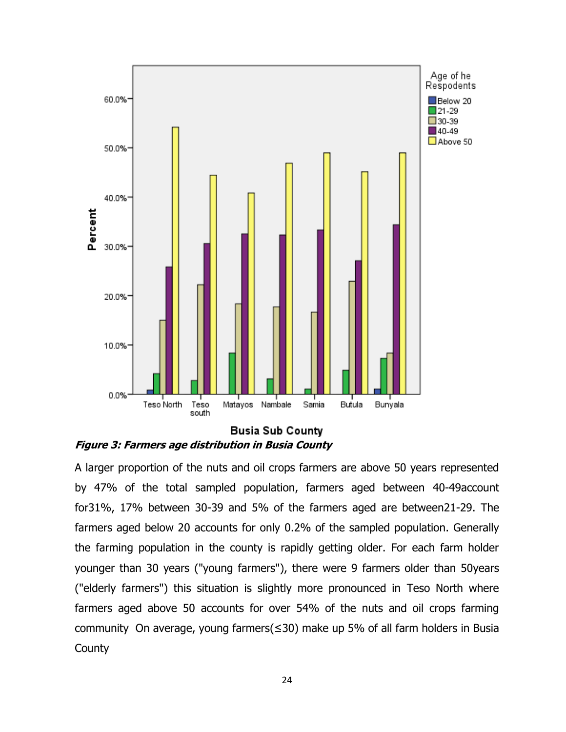

<span id="page-23-0"></span>

A larger proportion of the nuts and oil crops farmers are above 50 years represented by 47% of the total sampled population, farmers aged between 40-49account for31%, 17% between 30-39 and 5% of the farmers aged are between21-29. The farmers aged below 20 accounts for only 0.2% of the sampled population. Generally the farming population in the county is rapidly getting older. For each farm holder younger than 30 years ("young farmers"), there were 9 farmers older than 50years ("elderly farmers") this situation is slightly more pronounced in Teso North where farmers aged above 50 accounts for over 54% of the nuts and oil crops farming community On average, young farmers(≤30) make up 5% of all farm holders in Busia **County**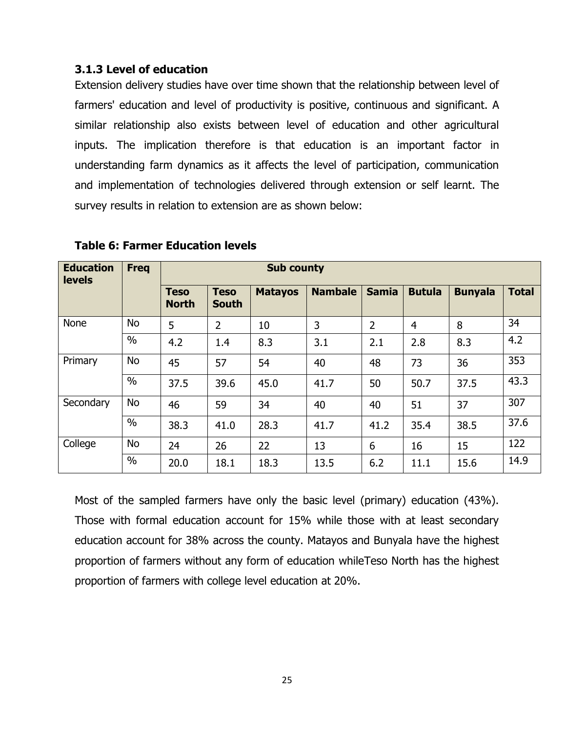#### <span id="page-24-0"></span>**3.1.3 Level of education**

Extension delivery studies have over time shown that the relationship between level of farmers' education and level of productivity is positive, continuous and significant. A similar relationship also exists between level of education and other agricultural inputs. The implication therefore is that education is an important factor in understanding farm dynamics as it affects the level of participation, communication and implementation of technologies delivered through extension or self learnt. The survey results in relation to extension are as shown below:

| <b>Education</b><br><b>levels</b> | <b>Sub county</b><br><b>Freq</b> |                             |                             |                |                |                |                |                |              |
|-----------------------------------|----------------------------------|-----------------------------|-----------------------------|----------------|----------------|----------------|----------------|----------------|--------------|
|                                   |                                  | <b>Teso</b><br><b>North</b> | <b>Teso</b><br><b>South</b> | <b>Matayos</b> | <b>Nambale</b> | <b>Samia</b>   | <b>Butula</b>  | <b>Bunyala</b> | <b>Total</b> |
| None                              | <b>No</b>                        | 5                           | $\overline{2}$              | 10             | 3              | $\overline{2}$ | $\overline{4}$ | 8              | 34           |
|                                   | $\frac{0}{0}$                    | 4.2                         | 1.4                         | 8.3            | 3.1            | 2.1            | 2.8            | 8.3            | 4.2          |
| Primary                           | No                               | 45                          | 57                          | 54             | 40             | 48             | 73             | 36             | 353          |
|                                   | $\frac{0}{0}$                    | 37.5                        | 39.6                        | 45.0           | 41.7           | 50             | 50.7           | 37.5           | 43.3         |
| Secondary                         | <b>No</b>                        | 46                          | 59                          | 34             | 40             | 40             | 51             | 37             | 307          |
|                                   | $\frac{0}{0}$                    | 38.3                        | 41.0                        | 28.3           | 41.7           | 41.2           | 35.4           | 38.5           | 37.6         |
| College                           | <b>No</b>                        | 24                          | 26                          | 22             | 13             | 6              | 16             | 15             | 122          |
|                                   | $\frac{0}{0}$                    | 20.0                        | 18.1                        | 18.3           | 13.5           | 6.2            | 11.1           | 15.6           | 14.9         |

#### <span id="page-24-1"></span>**Table 6: Farmer Education levels**

Most of the sampled farmers have only the basic level (primary) education (43%). Those with formal education account for 15% while those with at least secondary education account for 38% across the county. Matayos and Bunyala have the highest proportion of farmers without any form of education whileTeso North has the highest proportion of farmers with college level education at 20%.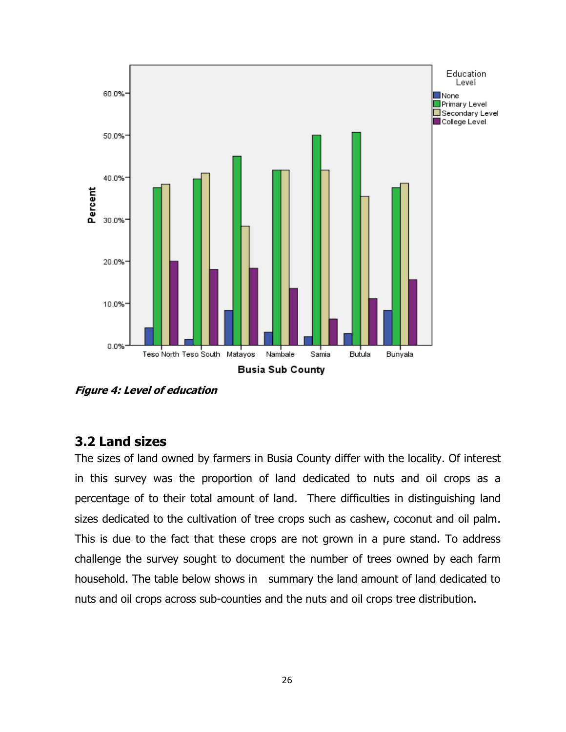

<span id="page-25-1"></span>**Figure 4: Level of education**

## <span id="page-25-0"></span>**3.2 Land sizes**

The sizes of land owned by farmers in Busia County differ with the locality. Of interest in this survey was the proportion of land dedicated to nuts and oil crops as a percentage of to their total amount of land. There difficulties in distinguishing land sizes dedicated to the cultivation of tree crops such as cashew, coconut and oil palm. This is due to the fact that these crops are not grown in a pure stand. To address challenge the survey sought to document the number of trees owned by each farm household. The table below shows in summary the land amount of land dedicated to nuts and oil crops across sub-counties and the nuts and oil crops tree distribution.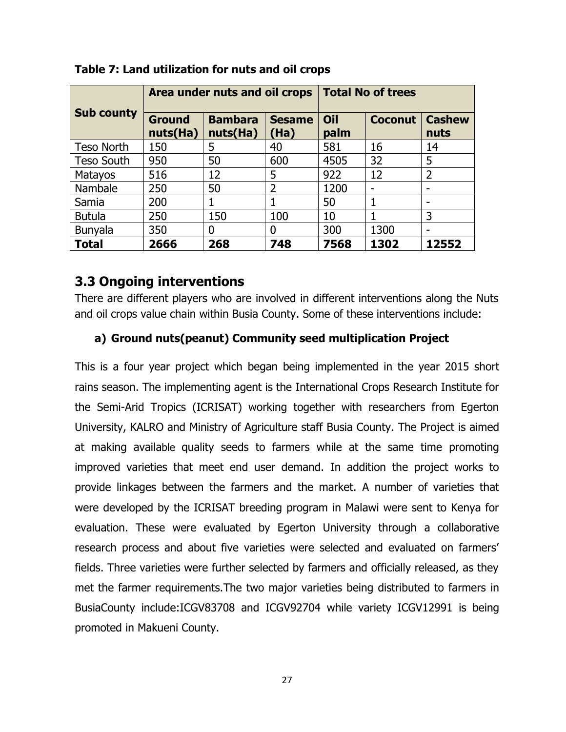|                   |                           | Area under nuts and oil crops |                       | <b>Total No of trees</b> |                          |                       |
|-------------------|---------------------------|-------------------------------|-----------------------|--------------------------|--------------------------|-----------------------|
| <b>Sub county</b> | <b>Ground</b><br>nuts(Ha) | <b>Bambara</b><br>nuts(Ha)    | <b>Sesame</b><br>(Ha) | Oil<br>palm              | <b>Coconut</b>           | <b>Cashew</b><br>nuts |
| <b>Teso North</b> | 150                       | 5                             | 40                    | 581                      | 16                       | 14                    |
| <b>Teso South</b> | 950                       | 50                            | 600                   | 4505                     | 32                       | 5                     |
| <b>Matayos</b>    | 516                       | 12                            | 5                     | 922                      | 12                       | $\overline{2}$        |
| Nambale           | 250                       | 50                            | $\overline{2}$        | 1200                     | $\overline{\phantom{0}}$ | -                     |
| Samia             | 200                       |                               |                       | 50                       | 1                        |                       |
| <b>Butula</b>     | 250                       | 150                           | 100                   | 10                       | 1                        | 3                     |
| <b>Bunyala</b>    | 350                       | 0                             | 0                     | 300                      | 1300                     |                       |
| <b>Total</b>      | 2666                      | 268                           | 748                   | 7568                     | 1302                     | 12552                 |

#### <span id="page-26-1"></span>**Table 7: Land utilization for nuts and oil crops**

## <span id="page-26-0"></span>**3.3 Ongoing interventions**

There are different players who are involved in different interventions along the Nuts and oil crops value chain within Busia County. Some of these interventions include:

### **a) Ground nuts(peanut) Community seed multiplication Project**

This is a four year project which began being implemented in the year 2015 short rains season. The implementing agent is the International Crops Research Institute for the Semi-Arid Tropics (ICRISAT) working together with researchers from Egerton University, KALRO and Ministry of Agriculture staff Busia County. The Project is aimed at making available quality seeds to farmers while at the same time promoting improved varieties that meet end user demand. In addition the project works to provide linkages between the farmers and the market. A number of varieties that were developed by the ICRISAT breeding program in Malawi were sent to Kenya for evaluation. These were evaluated by Egerton University through a collaborative research process and about five varieties were selected and evaluated on farmers' fields. Three varieties were further selected by farmers and officially released, as they met the farmer requirements.The two major varieties being distributed to farmers in BusiaCounty include:ICGV83708 and ICGV92704 while variety ICGV12991 is being promoted in Makueni County.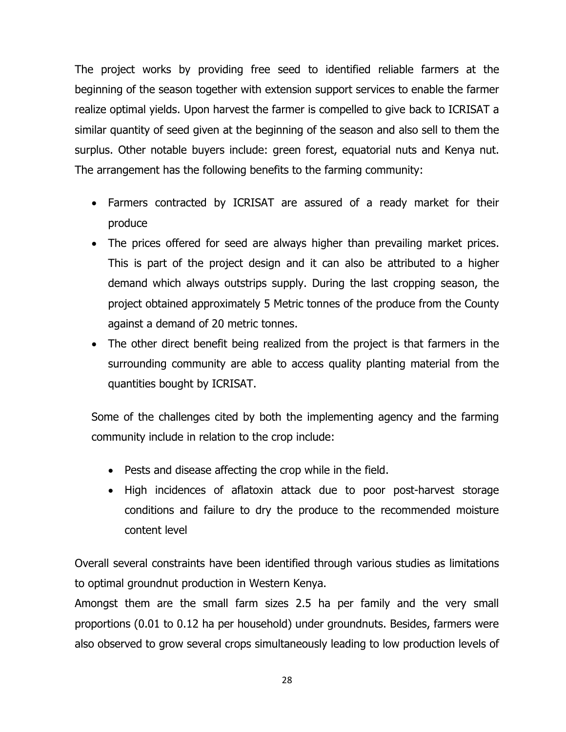The project works by providing free seed to identified reliable farmers at the beginning of the season together with extension support services to enable the farmer realize optimal yields. Upon harvest the farmer is compelled to give back to ICRISAT a similar quantity of seed given at the beginning of the season and also sell to them the surplus. Other notable buyers include: green forest, equatorial nuts and Kenya nut. The arrangement has the following benefits to the farming community:

- Farmers contracted by ICRISAT are assured of a ready market for their produce
- The prices offered for seed are always higher than prevailing market prices. This is part of the project design and it can also be attributed to a higher demand which always outstrips supply. During the last cropping season, the project obtained approximately 5 Metric tonnes of the produce from the County against a demand of 20 metric tonnes.
- The other direct benefit being realized from the project is that farmers in the surrounding community are able to access quality planting material from the quantities bought by ICRISAT.

Some of the challenges cited by both the implementing agency and the farming community include in relation to the crop include:

- Pests and disease affecting the crop while in the field.
- High incidences of aflatoxin attack due to poor post-harvest storage conditions and failure to dry the produce to the recommended moisture content level

Overall several constraints have been identified through various studies as limitations to optimal groundnut production in Western Kenya.

Amongst them are the small farm sizes 2.5 ha per family and the very small proportions (0.01 to 0.12 ha per household) under groundnuts. Besides, farmers were also observed to grow several crops simultaneously leading to low production levels of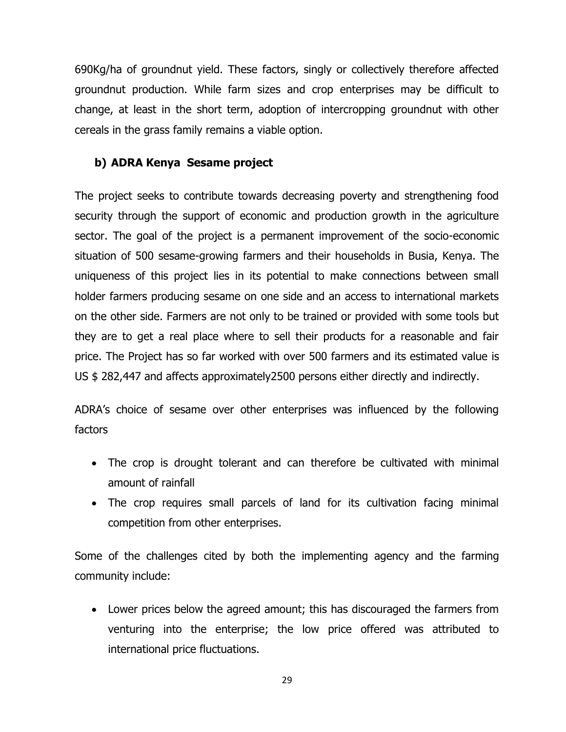690Kg/ha of groundnut yield. These factors, singly or collectively therefore affected groundnut production. While farm sizes and crop enterprises may be difficult to change, at least in the short term, adoption of intercropping groundnut with other cereals in the grass family remains a viable option.

#### **b) ADRA Kenya Sesame project**

The project seeks to contribute towards decreasing poverty and strengthening food security through the support of economic and production growth in the agriculture sector. The goal of the project is a permanent improvement of the socio-economic situation of 500 sesame-growing farmers and their households in Busia, Kenya. The uniqueness of this project lies in its potential to make connections between small holder farmers producing sesame on one side and an access to international markets on the other side. Farmers are not only to be trained or provided with some tools but they are to get a real place where to sell their products for a reasonable and fair price. The Project has so far worked with over 500 farmers and its estimated value is US \$ 282,447 and affects approximately2500 persons either directly and indirectly.

ADRA's choice of sesame over other enterprises was influenced by the following factors

- The crop is drought tolerant and can therefore be cultivated with minimal amount of rainfall
- The crop requires small parcels of land for its cultivation facing minimal competition from other enterprises.

Some of the challenges cited by both the implementing agency and the farming community include:

 Lower prices below the agreed amount; this has discouraged the farmers from venturing into the enterprise; the low price offered was attributed to international price fluctuations.

29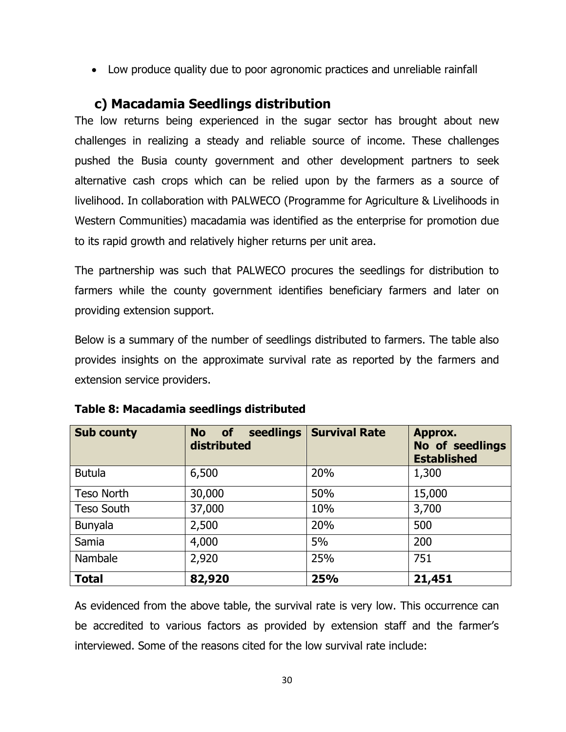Low produce quality due to poor agronomic practices and unreliable rainfall

# **c) Macadamia Seedlings distribution**

<span id="page-29-0"></span>The low returns being experienced in the sugar sector has brought about new challenges in realizing a steady and reliable source of income. These challenges pushed the Busia county government and other development partners to seek alternative cash crops which can be relied upon by the farmers as a source of livelihood. In collaboration with PALWECO (Programme for Agriculture & Livelihoods in Western Communities) macadamia was identified as the enterprise for promotion due to its rapid growth and relatively higher returns per unit area.

The partnership was such that PALWECO procures the seedlings for distribution to farmers while the county government identifies beneficiary farmers and later on providing extension support.

Below is a summary of the number of seedlings distributed to farmers. The table also provides insights on the approximate survival rate as reported by the farmers and extension service providers.

| <b>Sub county</b> | seedlings<br><b>No</b><br><b>of</b><br>distributed | <b>Survival Rate</b> | Approx.<br>No of seedlings<br><b>Established</b> |
|-------------------|----------------------------------------------------|----------------------|--------------------------------------------------|
| <b>Butula</b>     | 6,500                                              | 20%                  | 1,300                                            |
| <b>Teso North</b> | 30,000                                             | 50%                  | 15,000                                           |
| <b>Teso South</b> | 37,000                                             | 10%                  | 3,700                                            |
| <b>Bunyala</b>    | 2,500                                              | 20%                  | 500                                              |
| Samia             | 4,000                                              | 5%                   | 200                                              |
| Nambale           | 2,920                                              | 25%                  | 751                                              |
| <b>Total</b>      | 82,920                                             | 25%                  | 21,451                                           |

<span id="page-29-1"></span>

As evidenced from the above table, the survival rate is very low. This occurrence can be accredited to various factors as provided by extension staff and the farmer's interviewed. Some of the reasons cited for the low survival rate include: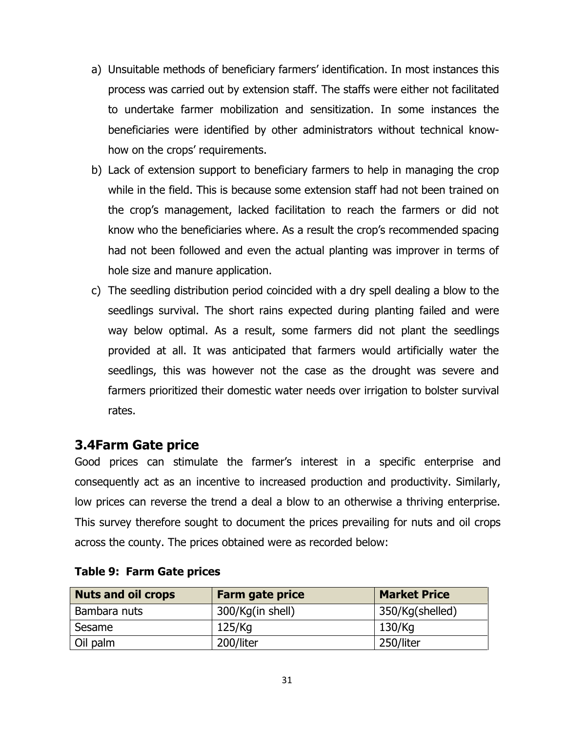- a) Unsuitable methods of beneficiary farmers' identification. In most instances this process was carried out by extension staff. The staffs were either not facilitated to undertake farmer mobilization and sensitization. In some instances the beneficiaries were identified by other administrators without technical knowhow on the crops' requirements.
- b) Lack of extension support to beneficiary farmers to help in managing the crop while in the field. This is because some extension staff had not been trained on the crop's management, lacked facilitation to reach the farmers or did not know who the beneficiaries where. As a result the crop's recommended spacing had not been followed and even the actual planting was improver in terms of hole size and manure application.
- c) The seedling distribution period coincided with a dry spell dealing a blow to the seedlings survival. The short rains expected during planting failed and were way below optimal. As a result, some farmers did not plant the seedlings provided at all. It was anticipated that farmers would artificially water the seedlings, this was however not the case as the drought was severe and farmers prioritized their domestic water needs over irrigation to bolster survival rates.

## <span id="page-30-0"></span>**3.4Farm Gate price**

Good prices can stimulate the farmer's interest in a specific enterprise and consequently act as an incentive to increased production and productivity. Similarly, low prices can reverse the trend a deal a blow to an otherwise a thriving enterprise. This survey therefore sought to document the prices prevailing for nuts and oil crops across the county. The prices obtained were as recorded below:

| <b>Nuts and oil crops</b> | <b>Farm gate price</b> | <b>Market Price</b> |  |
|---------------------------|------------------------|---------------------|--|
| Bambara nuts              | 300/Kg(in shell)       | 350/Kg(shelled)     |  |
| Sesame                    | 125/Kg                 | 130/Kg              |  |
| Oil palm                  | 200/liter              | 250/liter           |  |

#### <span id="page-30-1"></span>**Table 9: Farm Gate prices**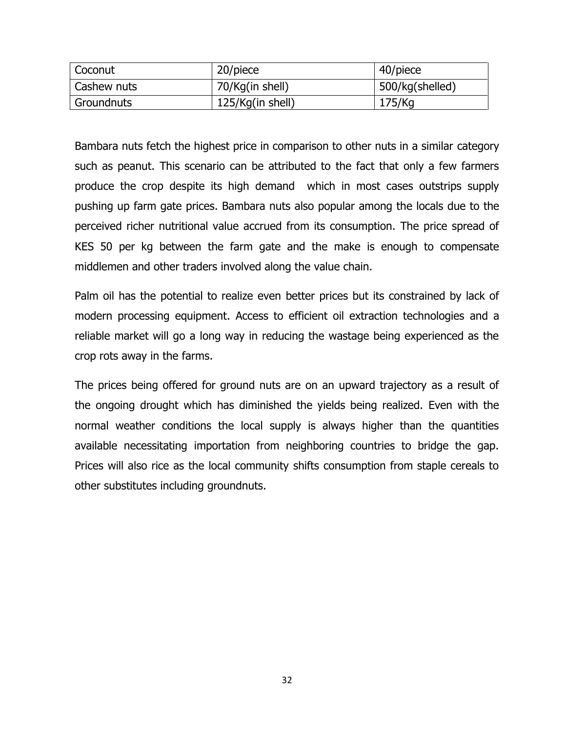| Coconut     | 20/piece         | 40/piece        |
|-------------|------------------|-----------------|
| Cashew nuts | 70/Kg(in shell)  | 500/kg(shelled) |
| Groundnuts  | 125/Kg(in shell) | 175/Kg          |

Bambara nuts fetch the highest price in comparison to other nuts in a similar category such as peanut. This scenario can be attributed to the fact that only a few farmers produce the crop despite its high demand which in most cases outstrips supply pushing up farm gate prices. Bambara nuts also popular among the locals due to the perceived richer nutritional value accrued from its consumption. The price spread of KES 50 per kg between the farm gate and the make is enough to compensate middlemen and other traders involved along the value chain.

Palm oil has the potential to realize even better prices but its constrained by lack of modern processing equipment. Access to efficient oil extraction technologies and a reliable market will go a long way in reducing the wastage being experienced as the crop rots away in the farms.

The prices being offered for ground nuts are on an upward trajectory as a result of the ongoing drought which has diminished the yields being realized. Even with the normal weather conditions the local supply is always higher than the quantities available necessitating importation from neighboring countries to bridge the gap. Prices will also rice as the local community shifts consumption from staple cereals to other substitutes including groundnuts.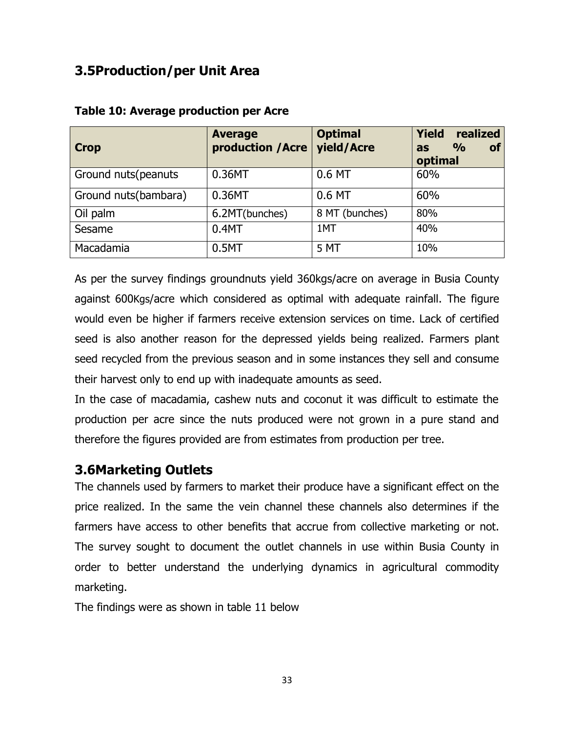# <span id="page-32-0"></span>**3.5Production/per Unit Area**

| <b>Crop</b>          | <b>Average</b><br>production /Acre | <b>Optimal</b><br>yield/Acre | <b>Yield</b><br>realized<br>$\frac{O}{O}$<br><b>of</b><br>as<br>optimal |
|----------------------|------------------------------------|------------------------------|-------------------------------------------------------------------------|
| Ground nuts (peanuts | 0.36MT                             | 0.6 MT                       | 60%                                                                     |
| Ground nuts(bambara) | 0.36MT                             | 0.6 MT                       | 60%                                                                     |
| Oil palm             | 6.2MT(bunches)                     | 8 MT (bunches)               | 80%                                                                     |
| Sesame               | 0.4MT                              | 1MT                          | 40%                                                                     |
| Macadamia            | 0.5MT                              | 5 MT                         | 10%                                                                     |

#### <span id="page-32-2"></span>**Table 10: Average production per Acre**

As per the survey findings groundnuts yield 360kgs/acre on average in Busia County against 600Kgs/acre which considered as optimal with adequate rainfall. The figure would even be higher if farmers receive extension services on time. Lack of certified seed is also another reason for the depressed yields being realized. Farmers plant seed recycled from the previous season and in some instances they sell and consume their harvest only to end up with inadequate amounts as seed.

In the case of macadamia, cashew nuts and coconut it was difficult to estimate the production per acre since the nuts produced were not grown in a pure stand and therefore the figures provided are from estimates from production per tree.

# <span id="page-32-1"></span>**3.6Marketing Outlets**

The channels used by farmers to market their produce have a significant effect on the price realized. In the same the vein channel these channels also determines if the farmers have access to other benefits that accrue from collective marketing or not. The survey sought to document the outlet channels in use within Busia County in order to better understand the underlying dynamics in agricultural commodity marketing.

The findings were as shown in table 11 below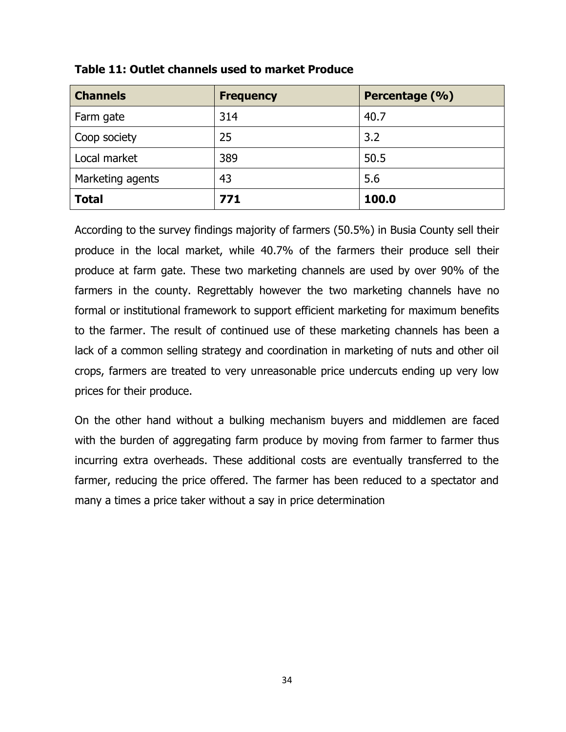| <b>Channels</b>  | <b>Frequency</b> | Percentage (%) |
|------------------|------------------|----------------|
| Farm gate        | 314              | 40.7           |
| Coop society     | 25               | 3.2            |
| Local market     | 389              | 50.5           |
| Marketing agents | 43               | 5.6            |
| <b>Total</b>     | 771              | 100.0          |

#### <span id="page-33-0"></span>**Table 11: Outlet channels used to market Produce**

According to the survey findings majority of farmers (50.5%) in Busia County sell their produce in the local market, while 40.7% of the farmers their produce sell their produce at farm gate. These two marketing channels are used by over 90% of the farmers in the county. Regrettably however the two marketing channels have no formal or institutional framework to support efficient marketing for maximum benefits to the farmer. The result of continued use of these marketing channels has been a lack of a common selling strategy and coordination in marketing of nuts and other oil crops, farmers are treated to very unreasonable price undercuts ending up very low prices for their produce.

On the other hand without a bulking mechanism buyers and middlemen are faced with the burden of aggregating farm produce by moving from farmer to farmer thus incurring extra overheads. These additional costs are eventually transferred to the farmer, reducing the price offered. The farmer has been reduced to a spectator and many a times a price taker without a say in price determination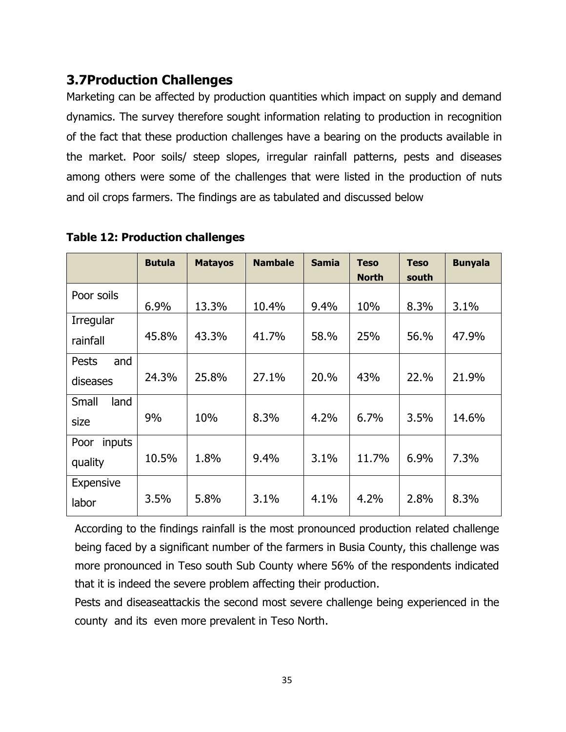# <span id="page-34-0"></span>**3.7Production Challenges**

Marketing can be affected by production quantities which impact on supply and demand dynamics. The survey therefore sought information relating to production in recognition of the fact that these production challenges have a bearing on the products available in the market. Poor soils/ steep slopes, irregular rainfall patterns, pests and diseases among others were some of the challenges that were listed in the production of nuts and oil crops farmers. The findings are as tabulated and discussed below

|                  | <b>Butula</b> | <b>Matayos</b> | <b>Nambale</b> | <b>Samia</b> | <b>Teso</b>  | <b>Teso</b> | <b>Bunyala</b> |
|------------------|---------------|----------------|----------------|--------------|--------------|-------------|----------------|
|                  |               |                |                |              | <b>North</b> | south       |                |
| Poor soils       |               |                |                |              |              |             |                |
|                  | 6.9%          | 13.3%          | 10.4%          | 9.4%         | 10%          | 8.3%        | 3.1%           |
| Irregular        |               |                |                |              |              |             |                |
| rainfall         | 45.8%         | 43.3%          | 41.7%          | 58.%         | 25%          | 56.%        | 47.9%          |
| and<br>Pests     |               |                |                |              |              |             |                |
| diseases         | 24.3%         | 25.8%          | 27.1%          | 20.%         | 43%          | 22.%        | 21.9%          |
| Small<br>land    |               |                |                |              |              |             |                |
| size             | 9%            | 10%            | 8.3%           | 4.2%         | 6.7%         | 3.5%        | 14.6%          |
| inputs<br>Poor   |               |                |                |              |              |             |                |
| quality          | 10.5%         | 1.8%           | 9.4%           | 3.1%         | 11.7%        | 6.9%        | 7.3%           |
| <b>Expensive</b> |               |                |                |              |              |             |                |
| labor            | 3.5%          | 5.8%           | 3.1%           | 4.1%         | 4.2%         | 2.8%        | 8.3%           |

#### <span id="page-34-1"></span>**Table 12: Production challenges**

According to the findings rainfall is the most pronounced production related challenge being faced by a significant number of the farmers in Busia County, this challenge was more pronounced in Teso south Sub County where 56% of the respondents indicated that it is indeed the severe problem affecting their production.

Pests and diseaseattackis the second most severe challenge being experienced in the county and its even more prevalent in Teso North.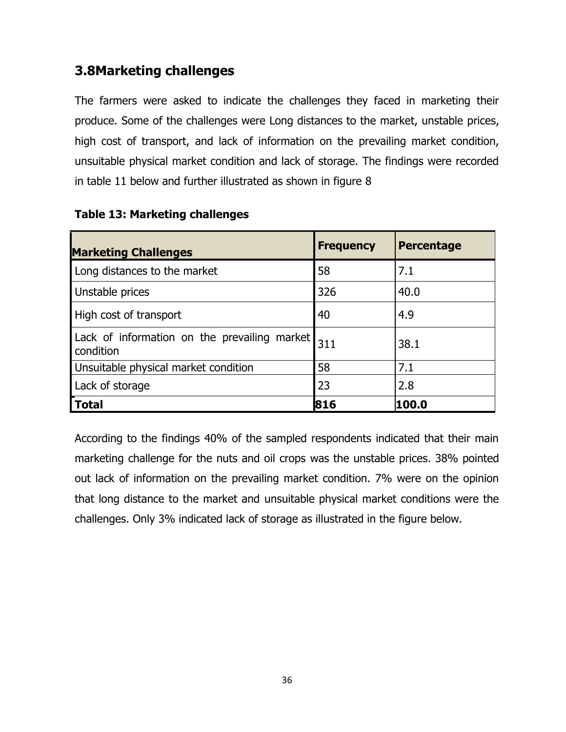# <span id="page-35-0"></span>**3.8Marketing challenges**

The farmers were asked to indicate the challenges they faced in marketing their produce. Some of the challenges were Long distances to the market, unstable prices, high cost of transport, and lack of information on the prevailing market condition, unsuitable physical market condition and lack of storage. The findings were recorded in table 11 below and further illustrated as shown in figure 8

| <b>Marketing Challenges</b>                               | <b>Frequency</b> | <b>Percentage</b> |
|-----------------------------------------------------------|------------------|-------------------|
| Long distances to the market                              | 58               | 7.1               |
| Unstable prices                                           | 326              | 40.0              |
| High cost of transport                                    | 40               | 4.9               |
| Lack of information on the prevailing market<br>condition | 311              | 38.1              |
| Unsuitable physical market condition                      | 58               | 7.1               |
| Lack of storage                                           | 23               | 2.8               |
| <b>Total</b>                                              | 816              | 100.0             |

#### <span id="page-35-2"></span>**Table 13: Marketing challenges**

<span id="page-35-1"></span>According to the findings 40% of the sampled respondents indicated that their main marketing challenge for the nuts and oil crops was the unstable prices. 38% pointed out lack of information on the prevailing market condition. 7% were on the opinion that long distance to the market and unsuitable physical market conditions were the challenges. Only 3% indicated lack of storage as illustrated in the figure below.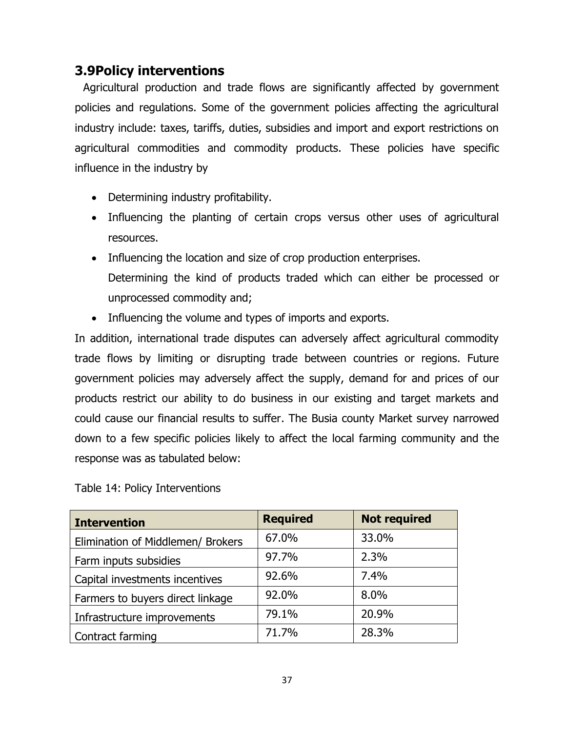## **3.9Policy interventions**

 Agricultural production and trade flows are significantly affected by government policies and regulations. Some of the government policies affecting the agricultural industry include: taxes, tariffs, duties, subsidies and import and export restrictions on agricultural commodities and commodity products. These policies have specific influence in the industry by

- Determining industry profitability.
- Influencing the planting of certain crops versus other uses of agricultural resources.
- Influencing the location and size of crop production enterprises. Determining the kind of products traded which can either be processed or unprocessed commodity and;
- Influencing the volume and types of imports and exports.

In addition, international trade disputes can adversely affect agricultural commodity trade flows by limiting or disrupting trade between countries or regions. Future government policies may adversely affect the supply, demand for and prices of our products restrict our ability to do business in our existing and target markets and could cause our financial results to suffer. The Busia county Market survey narrowed down to a few specific policies likely to affect the local farming community and the response was as tabulated below:

<span id="page-36-0"></span>Table 14: Policy Interventions

| <b>Intervention</b>               | <b>Required</b> | <b>Not required</b> |
|-----------------------------------|-----------------|---------------------|
| Elimination of Middlemen/ Brokers | 67.0%           | 33.0%               |
| Farm inputs subsidies             | 97.7%           | 2.3%                |
| Capital investments incentives    | 92.6%           | 7.4%                |
| Farmers to buyers direct linkage  | 92.0%           | 8.0%                |
| Infrastructure improvements       | 79.1%           | 20.9%               |
| Contract farming                  | 71.7%           | 28.3%               |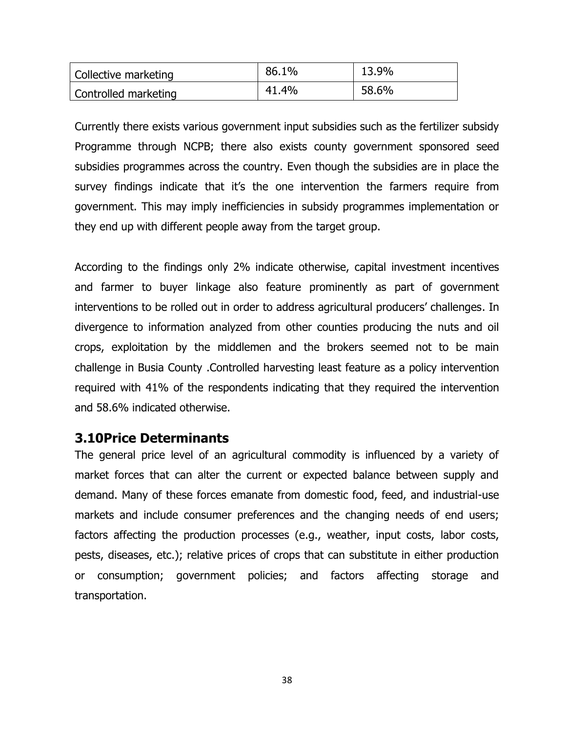| Collective marketing | 86.1% | 13.9% |
|----------------------|-------|-------|
| Controlled marketing | 41.4% | 58.6% |

Currently there exists various government input subsidies such as the fertilizer subsidy Programme through NCPB; there also exists county government sponsored seed subsidies programmes across the country. Even though the subsidies are in place the survey findings indicate that it's the one intervention the farmers require from government. This may imply inefficiencies in subsidy programmes implementation or they end up with different people away from the target group.

According to the findings only 2% indicate otherwise, capital investment incentives and farmer to buyer linkage also feature prominently as part of government interventions to be rolled out in order to address agricultural producers' challenges. In divergence to information analyzed from other counties producing the nuts and oil crops, exploitation by the middlemen and the brokers seemed not to be main challenge in Busia County .Controlled harvesting least feature as a policy intervention required with 41% of the respondents indicating that they required the intervention and 58.6% indicated otherwise.

### <span id="page-37-0"></span>**3.10Price Determinants**

The general price level of an agricultural commodity is influenced by a variety of market forces that can alter the current or expected balance between supply and demand. Many of these forces emanate from domestic food, feed, and industrial-use markets and include consumer preferences and the changing needs of end users; factors affecting the production processes (e.g., weather, input costs, labor costs, pests, diseases, etc.); relative prices of crops that can substitute in either production or consumption; government policies; and factors affecting storage and transportation.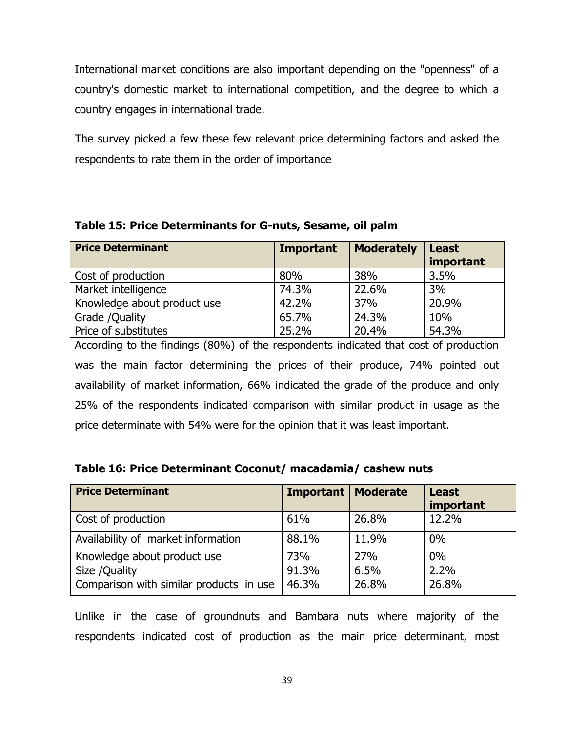International market conditions are also important depending on the "openness" of a country's domestic market to international competition, and the degree to which a country engages in international trade.

The survey picked a few these few relevant price determining factors and asked the respondents to rate them in the order of importance

| <b>Price Determinant</b>    | <b>Important</b> | <b>Moderately</b> | <b>Least</b><br>important |
|-----------------------------|------------------|-------------------|---------------------------|
| Cost of production          | 80%              | 38%               | 3.5%                      |
| Market intelligence         | 74.3%            | 22.6%             | 3%                        |
| Knowledge about product use | 42.2%            | 37%               | 20.9%                     |
| Grade / Quality             | 65.7%            | 24.3%             | 10%                       |
| Price of substitutes        | 25.2%            | 20.4%             | 54.3%                     |

<span id="page-38-0"></span>**Table 15: Price Determinants for G-nuts, Sesame, oil palm**

According to the findings (80%) of the respondents indicated that cost of production was the main factor determining the prices of their produce, 74% pointed out availability of market information, 66% indicated the grade of the produce and only 25% of the respondents indicated comparison with similar product in usage as the price determinate with 54% were for the opinion that it was least important.

<span id="page-38-1"></span>

| Table 16: Price Determinant Coconut/ macadamia/ cashew nuts |  |
|-------------------------------------------------------------|--|
|-------------------------------------------------------------|--|

| <b>Price Determinant</b>                | Important $ $ | <b>Moderate</b> | <b>Least</b><br>important |
|-----------------------------------------|---------------|-----------------|---------------------------|
| Cost of production                      | 61%           | 26.8%           | 12.2%                     |
| Availability of market information      | 88.1%         | 11.9%           | 0%                        |
| Knowledge about product use             | 73%           | 27%             | 0%                        |
| Size / Quality                          | 91.3%         | 6.5%            | 2.2%                      |
| Comparison with similar products in use | 46.3%         | 26.8%           | 26.8%                     |

Unlike in the case of groundnuts and Bambara nuts where majority of the respondents indicated cost of production as the main price determinant, most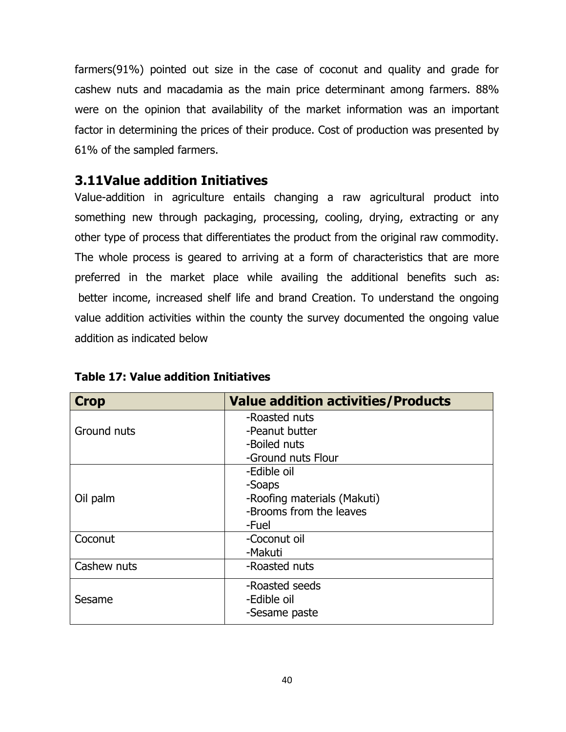farmers(91%) pointed out size in the case of coconut and quality and grade for cashew nuts and macadamia as the main price determinant among farmers. 88% were on the opinion that availability of the market information was an important factor in determining the prices of their produce. Cost of production was presented by 61% of the sampled farmers.

## <span id="page-39-0"></span>**3.11Value addition Initiatives**

Value-addition in agriculture entails changing a raw agricultural product into something new through packaging, processing, cooling, drying, extracting or any other type of process that differentiates the product from the original raw commodity. The whole process is geared to arriving at a form of characteristics that are more preferred in the market place while availing the additional benefits such as**:** better income, increased shelf life and brand Creation. To understand the ongoing value addition activities within the county the survey documented the ongoing value addition as indicated below

| <b>Crop</b> | <b>Value addition activities/Products</b> |  |  |
|-------------|-------------------------------------------|--|--|
|             | -Roasted nuts                             |  |  |
| Ground nuts | -Peanut butter                            |  |  |
|             | -Boiled nuts                              |  |  |
|             | -Ground nuts Flour                        |  |  |
|             | -Edible oil                               |  |  |
|             | -Soaps                                    |  |  |
| Oil palm    | -Roofing materials (Makuti)               |  |  |
|             | -Brooms from the leaves                   |  |  |
|             | -Fuel                                     |  |  |
| Coconut     | -Coconut oil                              |  |  |
|             | -Makuti                                   |  |  |
| Cashew nuts | -Roasted nuts                             |  |  |
|             | -Roasted seeds                            |  |  |
| Sesame      | -Edible oil                               |  |  |
|             | -Sesame paste                             |  |  |

<span id="page-39-1"></span>**Table 17: Value addition Initiatives**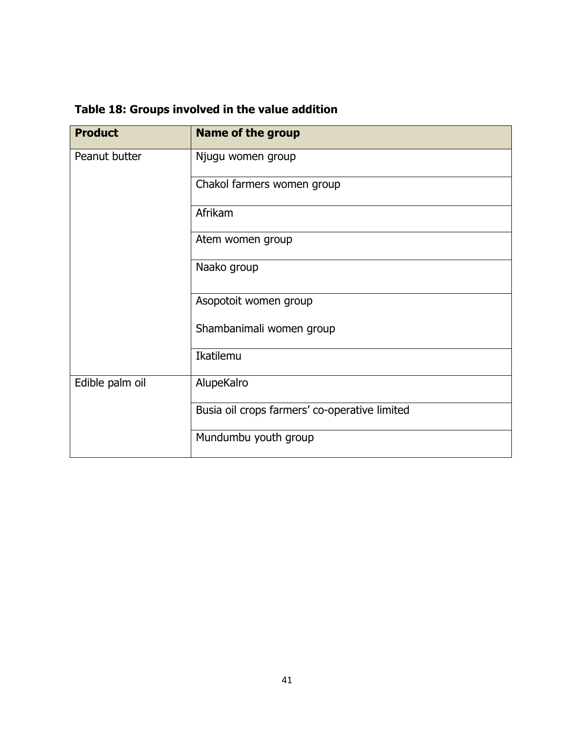<span id="page-40-1"></span>

| Table 18: Groups involved in the value addition |  |  |  |  |  |  |
|-------------------------------------------------|--|--|--|--|--|--|
|-------------------------------------------------|--|--|--|--|--|--|

<span id="page-40-0"></span>

| <b>Product</b>  | <b>Name of the group</b>                      |  |
|-----------------|-----------------------------------------------|--|
| Peanut butter   | Njugu women group                             |  |
|                 | Chakol farmers women group                    |  |
|                 | Afrikam                                       |  |
|                 | Atem women group                              |  |
|                 | Naako group                                   |  |
|                 | Asopotoit women group                         |  |
|                 | Shambanimali women group                      |  |
|                 | Ikatilemu                                     |  |
| Edible palm oil | AlupeKalro                                    |  |
|                 | Busia oil crops farmers' co-operative limited |  |
|                 | Mundumbu youth group                          |  |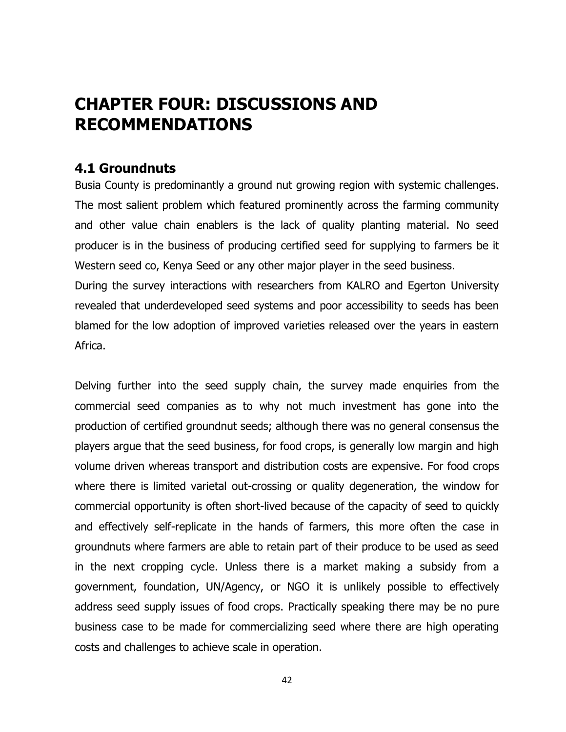# **CHAPTER FOUR: DISCUSSIONS AND RECOMMENDATIONS**

## <span id="page-41-0"></span>**4.1 Groundnuts**

Busia County is predominantly a ground nut growing region with systemic challenges. The most salient problem which featured prominently across the farming community and other value chain enablers is the lack of quality planting material. No seed producer is in the business of producing certified seed for supplying to farmers be it Western seed co, Kenya Seed or any other major player in the seed business.

During the survey interactions with researchers from KALRO and Egerton University revealed that underdeveloped seed systems and poor accessibility to seeds has been blamed for the low adoption of improved varieties released over the years in eastern Africa.

Delving further into the seed supply chain, the survey made enquiries from the commercial seed companies as to why not much investment has gone into the production of certified groundnut seeds; although there was no general consensus the players argue that the seed business, for food crops, is generally low margin and high volume driven whereas transport and distribution costs are expensive. For food crops where there is limited varietal out-crossing or quality degeneration, the window for commercial opportunity is often short-lived because of the capacity of seed to quickly and effectively self-replicate in the hands of farmers, this more often the case in groundnuts where farmers are able to retain part of their produce to be used as seed in the next cropping cycle. Unless there is a market making a subsidy from a government, foundation, UN/Agency, or NGO it is unlikely possible to effectively address seed supply issues of food crops. Practically speaking there may be no pure business case to be made for commercializing seed where there are high operating costs and challenges to achieve scale in operation.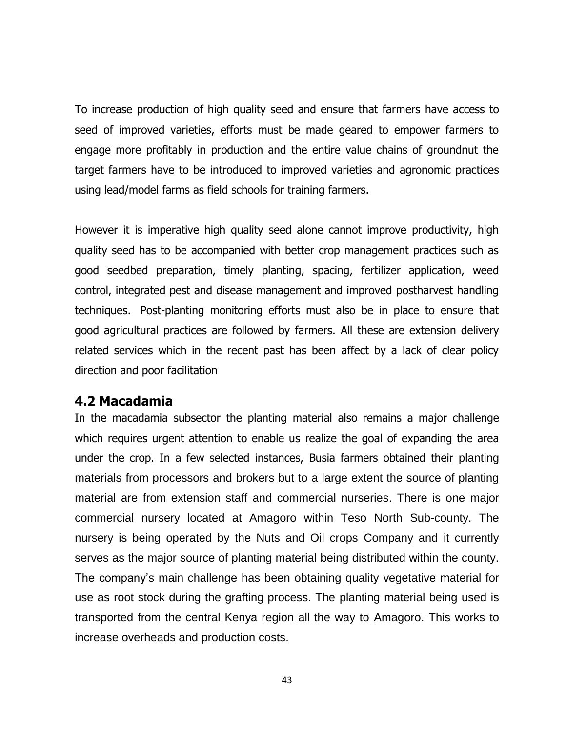To increase production of high quality seed and ensure that farmers have access to seed of improved varieties, efforts must be made geared to empower farmers to engage more profitably in production and the entire value chains of groundnut the target farmers have to be introduced to improved varieties and agronomic practices using lead/model farms as field schools for training farmers.

However it is imperative high quality seed alone cannot improve productivity, high quality seed has to be accompanied with better crop management practices such as good seedbed preparation, timely planting, spacing, fertilizer application, weed control, integrated pest and disease management and improved postharvest handling techniques. Post-planting monitoring efforts must also be in place to ensure that good agricultural practices are followed by farmers. All these are extension delivery related services which in the recent past has been affect by a lack of clear policy direction and poor facilitation

### <span id="page-42-0"></span>**4.2 Macadamia**

In the macadamia subsector the planting material also remains a major challenge which requires urgent attention to enable us realize the goal of expanding the area under the crop. In a few selected instances, Busia farmers obtained their planting materials from processors and brokers but to a large extent the source of planting material are from extension staff and commercial nurseries. There is one major commercial nursery located at Amagoro within Teso North Sub-county. The nursery is being operated by the Nuts and Oil crops Company and it currently serves as the major source of planting material being distributed within the county. The company's main challenge has been obtaining quality vegetative material for use as root stock during the grafting process. The planting material being used is transported from the central Kenya region all the way to Amagoro. This works to increase overheads and production costs.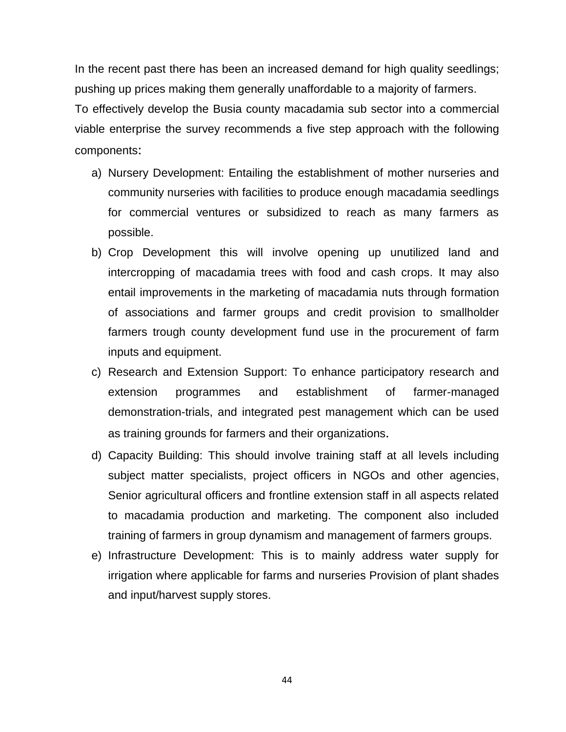In the recent past there has been an increased demand for high quality seedlings; pushing up prices making them generally unaffordable to a majority of farmers.

To effectively develop the Busia county macadamia sub sector into a commercial viable enterprise the survey recommends a five step approach with the following components:

- a) Nursery Development: Entailing the establishment of mother nurseries and community nurseries with facilities to produce enough macadamia seedlings for commercial ventures or subsidized to reach as many farmers as possible.
- b) Crop Development this will involve opening up unutilized land and intercropping of macadamia trees with food and cash crops. It may also entail improvements in the marketing of macadamia nuts through formation of associations and farmer groups and credit provision to smallholder farmers trough county development fund use in the procurement of farm inputs and equipment.
- c) Research and Extension Support: To enhance participatory research and extension programmes and establishment of farmer-managed demonstration-trials, and integrated pest management which can be used as training grounds for farmers and their organizations.
- d) Capacity Building: This should involve training staff at all levels including subject matter specialists, project officers in NGOs and other agencies, Senior agricultural officers and frontline extension staff in all aspects related to macadamia production and marketing. The component also included training of farmers in group dynamism and management of farmers groups.
- e) Infrastructure Development: This is to mainly address water supply for irrigation where applicable for farms and nurseries Provision of plant shades and input/harvest supply stores.

44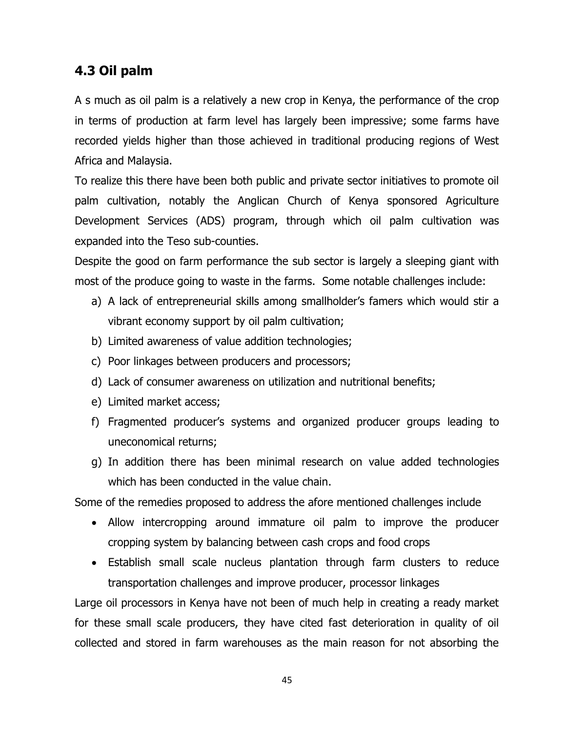## <span id="page-44-0"></span>**4.3 Oil palm**

A s much as oil palm is a relatively a new crop in Kenya, the performance of the crop in terms of production at farm level has largely been impressive; some farms have recorded yields higher than those achieved in traditional producing regions of West Africa and Malaysia.

To realize this there have been both public and private sector initiatives to promote oil palm cultivation, notably the Anglican Church of Kenya sponsored Agriculture Development Services (ADS) program, through which oil palm cultivation was expanded into the Teso sub-counties.

Despite the good on farm performance the sub sector is largely a sleeping giant with most of the produce going to waste in the farms. Some notable challenges include:

- a) A lack of entrepreneurial skills among smallholder's famers which would stir a vibrant economy support by oil palm cultivation;
- b) Limited awareness of value addition technologies;
- c) Poor linkages between producers and processors;
- d) Lack of consumer awareness on utilization and nutritional benefits;
- e) Limited market access;
- f) Fragmented producer's systems and organized producer groups leading to uneconomical returns;
- g) In addition there has been minimal research on value added technologies which has been conducted in the value chain.

Some of the remedies proposed to address the afore mentioned challenges include

- Allow intercropping around immature oil palm to improve the producer cropping system by balancing between cash crops and food crops
- Establish small scale nucleus plantation through farm clusters to reduce transportation challenges and improve producer, processor linkages

Large oil processors in Kenya have not been of much help in creating a ready market for these small scale producers, they have cited fast deterioration in quality of oil collected and stored in farm warehouses as the main reason for not absorbing the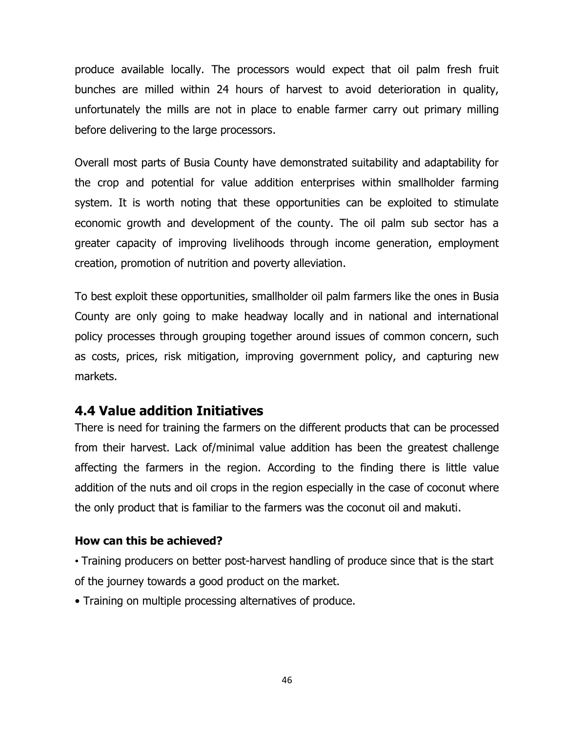produce available locally. The processors would expect that oil palm fresh fruit bunches are milled within 24 hours of harvest to avoid deterioration in quality, unfortunately the mills are not in place to enable farmer carry out primary milling before delivering to the large processors.

Overall most parts of Busia County have demonstrated suitability and adaptability for the crop and potential for value addition enterprises within smallholder farming system. It is worth noting that these opportunities can be exploited to stimulate economic growth and development of the county. The oil palm sub sector has a greater capacity of improving livelihoods through income generation, employment creation, promotion of nutrition and poverty alleviation.

To best exploit these opportunities, smallholder oil palm farmers like the ones in Busia County are only going to make headway locally and in national and international policy processes through grouping together around issues of common concern, such as costs, prices, risk mitigation, improving government policy, and capturing new markets.

## <span id="page-45-0"></span>**4.4 Value addition Initiatives**

There is need for training the farmers on the different products that can be processed from their harvest. Lack of/minimal value addition has been the greatest challenge affecting the farmers in the region. According to the finding there is little value addition of the nuts and oil crops in the region especially in the case of coconut where the only product that is familiar to the farmers was the coconut oil and makuti.

#### **How can this be achieved?**

• Training producers on better post-harvest handling of produce since that is the start of the journey towards a good product on the market.

• Training on multiple processing alternatives of produce.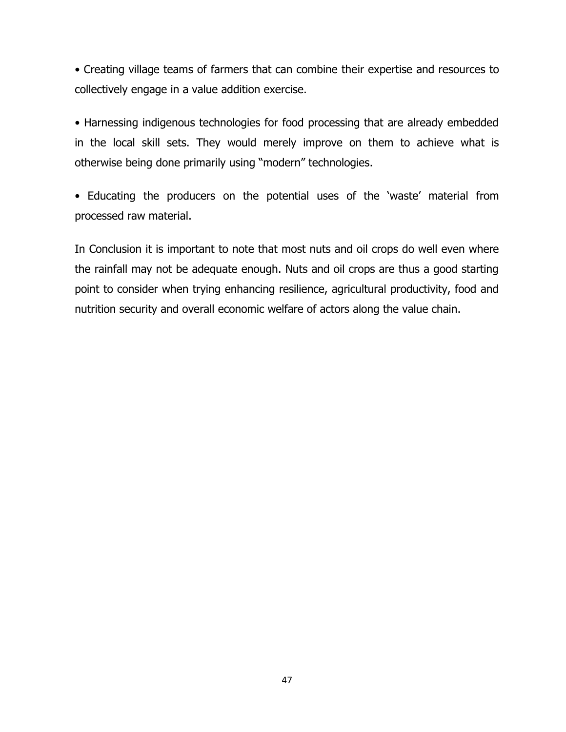• Creating village teams of farmers that can combine their expertise and resources to collectively engage in a value addition exercise.

• Harnessing indigenous technologies for food processing that are already embedded in the local skill sets. They would merely improve on them to achieve what is otherwise being done primarily using "modern" technologies.

• Educating the producers on the potential uses of the 'waste' material from processed raw material.

In Conclusion it is important to note that most nuts and oil crops do well even where the rainfall may not be adequate enough. Nuts and oil crops are thus a good starting point to consider when trying enhancing resilience, agricultural productivity, food and nutrition security and overall economic welfare of actors along the value chain.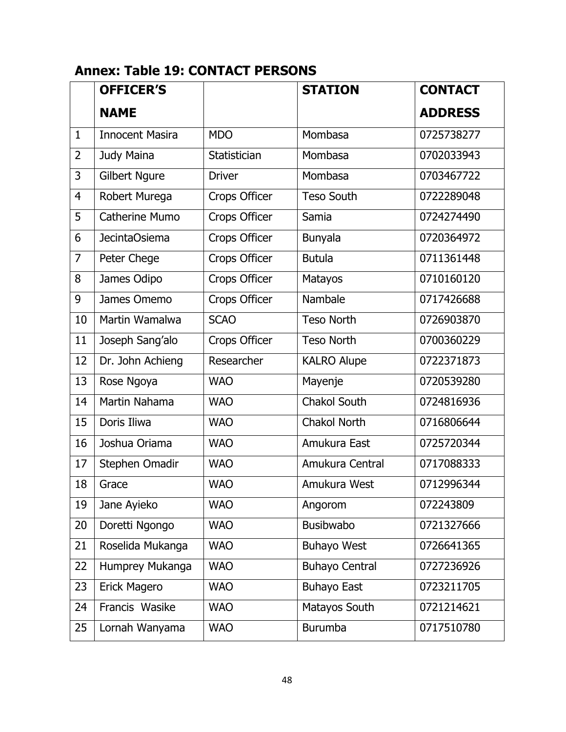# <span id="page-47-0"></span>**Annex: Table 19: CONTACT PERSONS**

|                | <b>OFFICER'S</b>       |               | <b>STATION</b>        | <b>CONTACT</b> |
|----------------|------------------------|---------------|-----------------------|----------------|
|                | <b>NAME</b>            |               |                       | <b>ADDRESS</b> |
| $\mathbf{1}$   | <b>Innocent Masira</b> | <b>MDO</b>    | Mombasa               | 0725738277     |
| $\overline{2}$ | Judy Maina             | Statistician  | Mombasa               | 0702033943     |
| 3              | <b>Gilbert Ngure</b>   | <b>Driver</b> | Mombasa               | 0703467722     |
| $\overline{4}$ | Robert Murega          | Crops Officer | <b>Teso South</b>     | 0722289048     |
| 5              | Catherine Mumo         | Crops Officer | Samia                 | 0724274490     |
| 6              | <b>JecintaOsiema</b>   | Crops Officer | <b>Bunyala</b>        | 0720364972     |
| $\overline{7}$ | Peter Chege            | Crops Officer | <b>Butula</b>         | 0711361448     |
| 8              | James Odipo            | Crops Officer | Matayos               | 0710160120     |
| 9              | James Omemo            | Crops Officer | Nambale               | 0717426688     |
| 10             | Martin Wamalwa         | <b>SCAO</b>   | <b>Teso North</b>     | 0726903870     |
| 11             | Joseph Sang'alo        | Crops Officer | <b>Teso North</b>     | 0700360229     |
| 12             | Dr. John Achieng       | Researcher    | <b>KALRO Alupe</b>    | 0722371873     |
| 13             | Rose Ngoya             | <b>WAO</b>    | Mayenje               | 0720539280     |
| 14             | Martin Nahama          | <b>WAO</b>    | <b>Chakol South</b>   | 0724816936     |
| 15             | Doris Iliwa            | <b>WAO</b>    | <b>Chakol North</b>   | 0716806644     |
| 16             | Joshua Oriama          | <b>WAO</b>    | Amukura East          | 0725720344     |
| 17             | Stephen Omadir         | <b>WAO</b>    | Amukura Central       | 0717088333     |
| 18             | Grace                  | <b>WAO</b>    | Amukura West          | 0712996344     |
| 19             | Jane Ayieko            | <b>WAO</b>    | Angorom               | 072243809      |
| 20             | Doretti Ngongo         | <b>WAO</b>    | <b>Busibwabo</b>      | 0721327666     |
| 21             | Roselida Mukanga       | <b>WAO</b>    | <b>Buhayo West</b>    | 0726641365     |
| 22             | Humprey Mukanga        | <b>WAO</b>    | <b>Buhayo Central</b> | 0727236926     |
| 23             | Erick Magero           | <b>WAO</b>    | <b>Buhayo East</b>    | 0723211705     |
| 24             | Francis Wasike         | <b>WAO</b>    | Matayos South         | 0721214621     |
| 25             | Lornah Wanyama         | <b>WAO</b>    | <b>Burumba</b>        | 0717510780     |